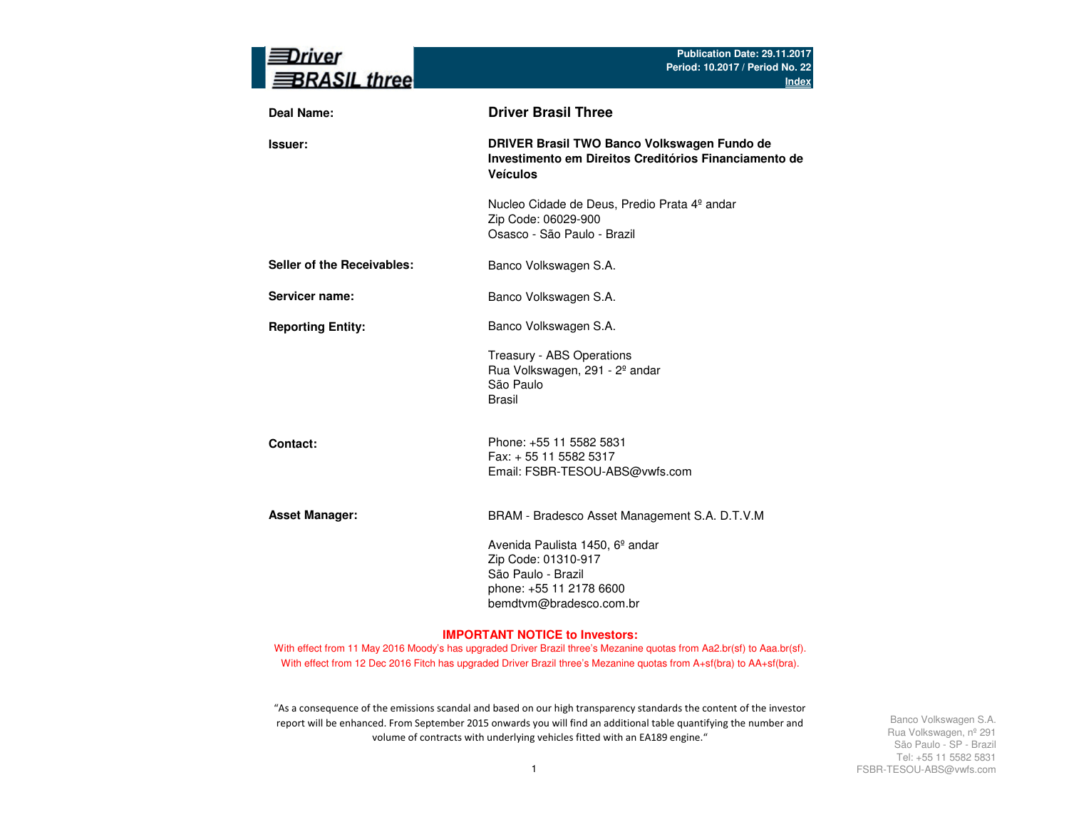| river<br><b>BRASIL three</b> | Publication Date: 29.11.2017<br>Period: 10.2017 / Period No. 22<br><b>Index</b>                                                                |
|------------------------------|------------------------------------------------------------------------------------------------------------------------------------------------|
| <b>Deal Name:</b>            | <b>Driver Brasil Three</b>                                                                                                                     |
| Issuer:                      | DRIVER Brasil TWO Banco Volkswagen Fundo de<br>Investimento em Direitos Creditórios Financiamento de<br><b>Veículos</b>                        |
|                              | Nucleo Cidade de Deus, Predio Prata 4º andar<br>Zip Code: 06029-900<br>Osasco - São Paulo - Brazil                                             |
| Seller of the Receivables:   | Banco Volkswagen S.A.                                                                                                                          |
| Servicer name:               | Banco Volkswagen S.A.                                                                                                                          |
| <b>Reporting Entity:</b>     | Banco Volkswagen S.A.                                                                                                                          |
|                              | Treasury - ABS Operations<br>Rua Volkswagen, 291 - 2º andar<br>São Paulo<br><b>Brasil</b>                                                      |
| Contact:                     | Phone: +55 11 5582 5831<br>Fax: + 55 11 5582 5317<br>Email: FSBR-TESOU-ABS@vwfs.com                                                            |
| <b>Asset Manager:</b>        | BRAM - Bradesco Asset Management S.A. D.T.V.M                                                                                                  |
|                              | Avenida Paulista 1450, 6 <sup>°</sup> andar<br>Zip Code: 01310-917<br>São Paulo - Brazil<br>phone: +55 11 2178 6600<br>bemdtvm@bradesco.com.br |

#### **IMPORTANT NOTICE to Investors:**

With effect from 11 May 2016 Moody's has upgraded Driver Brazil three's Mezanine quotas from Aa2.br(sf) to Aaa.br(sf). With effect from 12 Dec 2016 Fitch has upgraded Driver Brazil three's Mezanine quotas from A+sf(bra) to AA+sf(bra).

"As a consequence of the emissions scandal and based on our high transparency standards the content of the investor report will be enhanced. From September 2015 onwards you will find an additional table quantifying the number and volume of contracts with underlying vehicles fitted with an EA189 engine."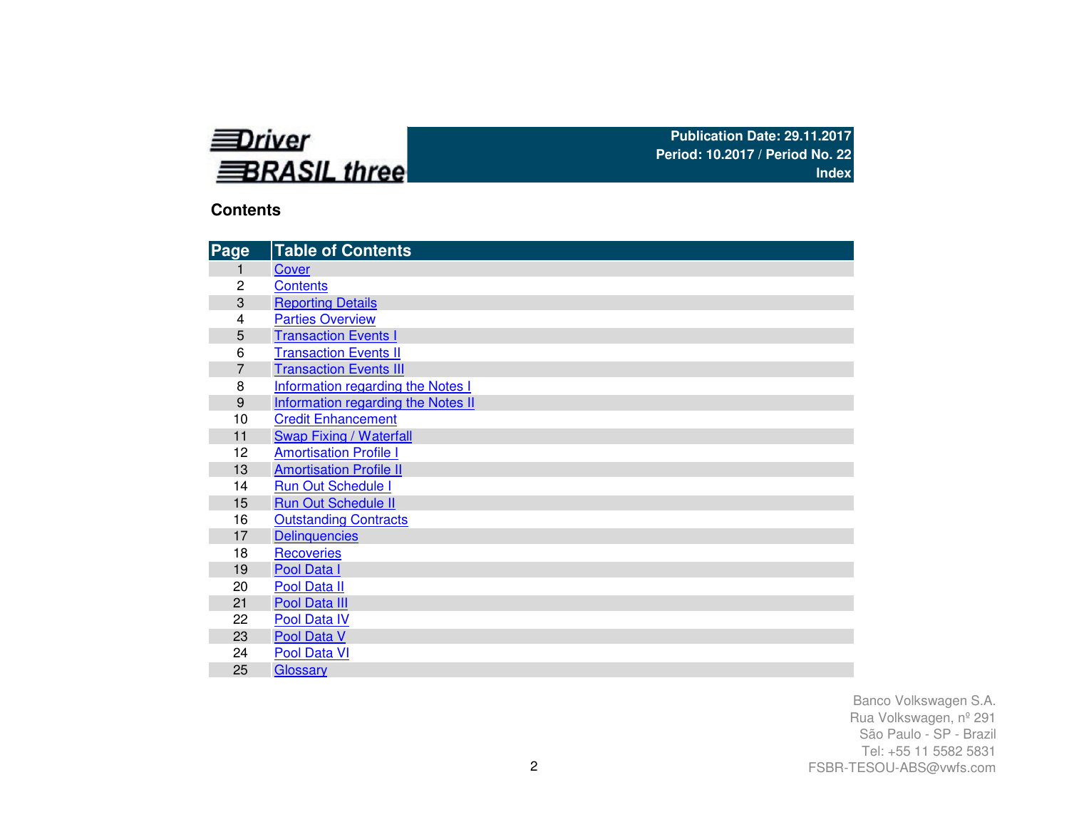

## **Contents**

| Page           | <b>Table of Contents</b>           |
|----------------|------------------------------------|
| 1              | Cover                              |
| $\overline{c}$ | <b>Contents</b>                    |
| 3              | <b>Reporting Details</b>           |
| 4              | <b>Parties Overview</b>            |
| 5              | <b>Transaction Events I</b>        |
| 6              | <b>Transaction Events II</b>       |
| 7              | <b>Transaction Events III</b>      |
| 8              | Information regarding the Notes I  |
| 9              | Information regarding the Notes II |
| 10             | <b>Credit Enhancement</b>          |
| 11             | <b>Swap Fixing / Waterfall</b>     |
| 12             | <b>Amortisation Profile I</b>      |
| 13             | <b>Amortisation Profile II</b>     |
| 14             | <b>Run Out Schedule I</b>          |
| 15             | <b>Run Out Schedule II</b>         |
| 16             | <b>Outstanding Contracts</b>       |
| 17             | <b>Delinquencies</b>               |
| 18             | <b>Recoveries</b>                  |
| 19             | Pool Data I                        |
| 20             | Pool Data II                       |
| 21             | Pool Data III                      |
| 22             | Pool Data IV                       |
| 23             | Pool Data V                        |
| 24             | Pool Data VI                       |
| 25             | Glossary                           |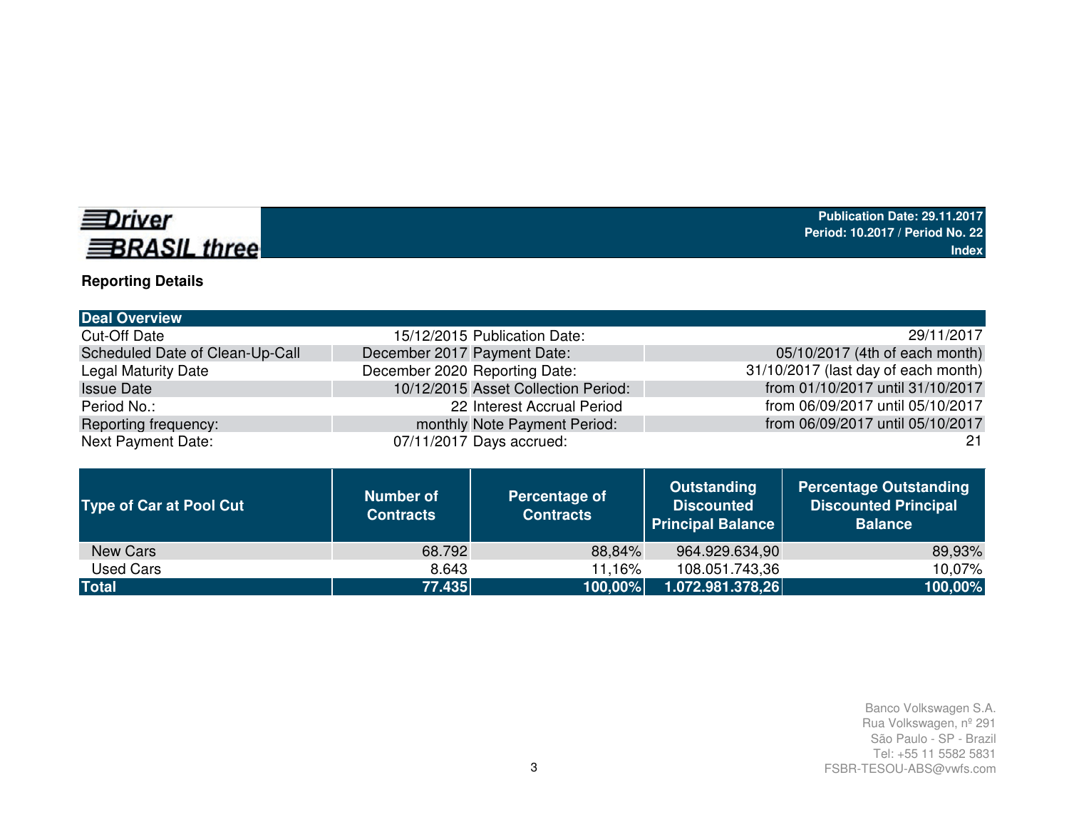# *<u>EDriver</u>* **BRASIL three**

# **Reporting Details**

| <b>Deal Overview</b>            |                                     |                                     |
|---------------------------------|-------------------------------------|-------------------------------------|
| <b>Cut-Off Date</b>             | 15/12/2015 Publication Date:        | 29/11/2017                          |
| Scheduled Date of Clean-Up-Call | December 2017 Payment Date:         | 05/10/2017 (4th of each month)      |
| <b>Legal Maturity Date</b>      | December 2020 Reporting Date:       | 31/10/2017 (last day of each month) |
| <b>Issue Date</b>               | 10/12/2015 Asset Collection Period: | from 01/10/2017 until 31/10/2017    |
| Period No.:                     | 22 Interest Accrual Period          | from 06/09/2017 until 05/10/2017    |
| Reporting frequency:            | monthly Note Payment Period:        | from 06/09/2017 until 05/10/2017    |
| <b>Next Payment Date:</b>       | 07/11/2017 Days accrued:            | 21                                  |

| <b>Type of Car at Pool Cut</b> | <b>Number of</b><br><b>Contracts</b> | Percentage of<br><b>Contracts</b> | <b>Outstanding</b><br><b>Discounted</b><br><b>Principal Balance</b> | <b>Percentage Outstanding</b><br><b>Discounted Principal</b><br><b>Balance</b> |
|--------------------------------|--------------------------------------|-----------------------------------|---------------------------------------------------------------------|--------------------------------------------------------------------------------|
| New Cars                       | 68.792                               | 88,84%                            | 964.929.634,90                                                      | 89,93%                                                                         |
| Used Cars                      | 8.643                                | 11.16%                            | 108.051.743,36                                                      | 10,07%                                                                         |
| <b>Total</b>                   | 77.435                               | 100,00%                           | 1.072.981.378,26                                                    | 100,00%                                                                        |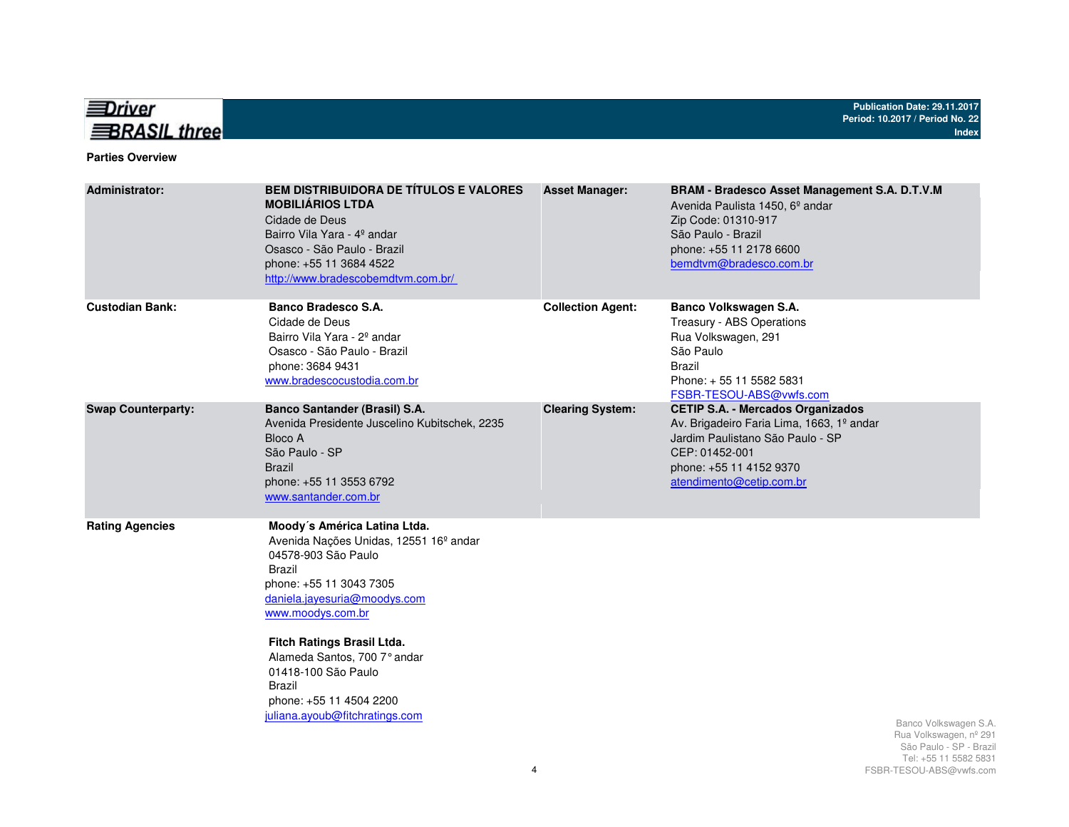

#### **Parties Overview**

| <b>Administrator:</b>     | <b>BEM DISTRIBUIDORA DE TÍTULOS E VALORES</b><br><b>MOBILIÁRIOS LTDA</b><br>Cidade de Deus<br>Bairro Vila Yara - 4º andar<br>Osasco - São Paulo - Brazil<br>phone: +55 11 3684 4522<br>http://www.bradescobemdtvm.com.br/                                                                                                                                              | <b>Asset Manager:</b>    | <b>BRAM - Bradesco Asset Management S.A. D.T.V.M</b><br>Avenida Paulista 1450, 6 <sup>°</sup> andar<br>Zip Code: 01310-917<br>São Paulo - Brazil<br>phone: +55 11 2178 6600<br>bemdtvm@bradesco.com.br |                                                                                                    |
|---------------------------|------------------------------------------------------------------------------------------------------------------------------------------------------------------------------------------------------------------------------------------------------------------------------------------------------------------------------------------------------------------------|--------------------------|--------------------------------------------------------------------------------------------------------------------------------------------------------------------------------------------------------|----------------------------------------------------------------------------------------------------|
| <b>Custodian Bank:</b>    | Banco Bradesco S.A.<br>Cidade de Deus<br>Bairro Vila Yara - 2 <sup>°</sup> andar<br>Osasco - São Paulo - Brazil<br>phone: 3684 9431<br>www.bradescocustodia.com.br                                                                                                                                                                                                     | <b>Collection Agent:</b> | Banco Volkswagen S.A.<br>Treasury - ABS Operations<br>Rua Volkswagen, 291<br>São Paulo<br><b>Brazil</b><br>Phone: +55 11 5582 5831<br>FSBR-TESOU-ABS@vwfs.com                                          |                                                                                                    |
| <b>Swap Counterparty:</b> | <b>Banco Santander (Brasil) S.A.</b><br>Avenida Presidente Juscelino Kubitschek, 2235<br>Bloco A<br>São Paulo - SP<br><b>Brazil</b><br>phone: +55 11 3553 6792<br>www.santander.com.br                                                                                                                                                                                 | <b>Clearing System:</b>  | <b>CETIP S.A. - Mercados Organizados</b><br>Av. Brigadeiro Faria Lima, 1663, 1º andar<br>Jardim Paulistano São Paulo - SP<br>CEP: 01452-001<br>phone: +55 11 4152 9370<br>atendimento@cetip.com.br     |                                                                                                    |
| <b>Rating Agencies</b>    | Moody's América Latina Ltda.<br>Avenida Nações Unidas, 12551 16 <sup>°</sup> andar<br>04578-903 São Paulo<br><b>Brazil</b><br>phone: +55 11 3043 7305<br>daniela.jayesuria@moodys.com<br>www.moodys.com.br<br>Fitch Ratings Brasil Ltda.<br>Alameda Santos, 700 7° andar<br>01418-100 São Paulo<br>Brazil<br>phone: +55 11 4504 2200<br>juliana.ayoub@fitchratings.com |                          |                                                                                                                                                                                                        | Banco Volkswagen S.A.<br>Rua Volkswagen, nº 291<br>São Paulo - SP - Brazil<br>Tel: 55 11 5582 5831 |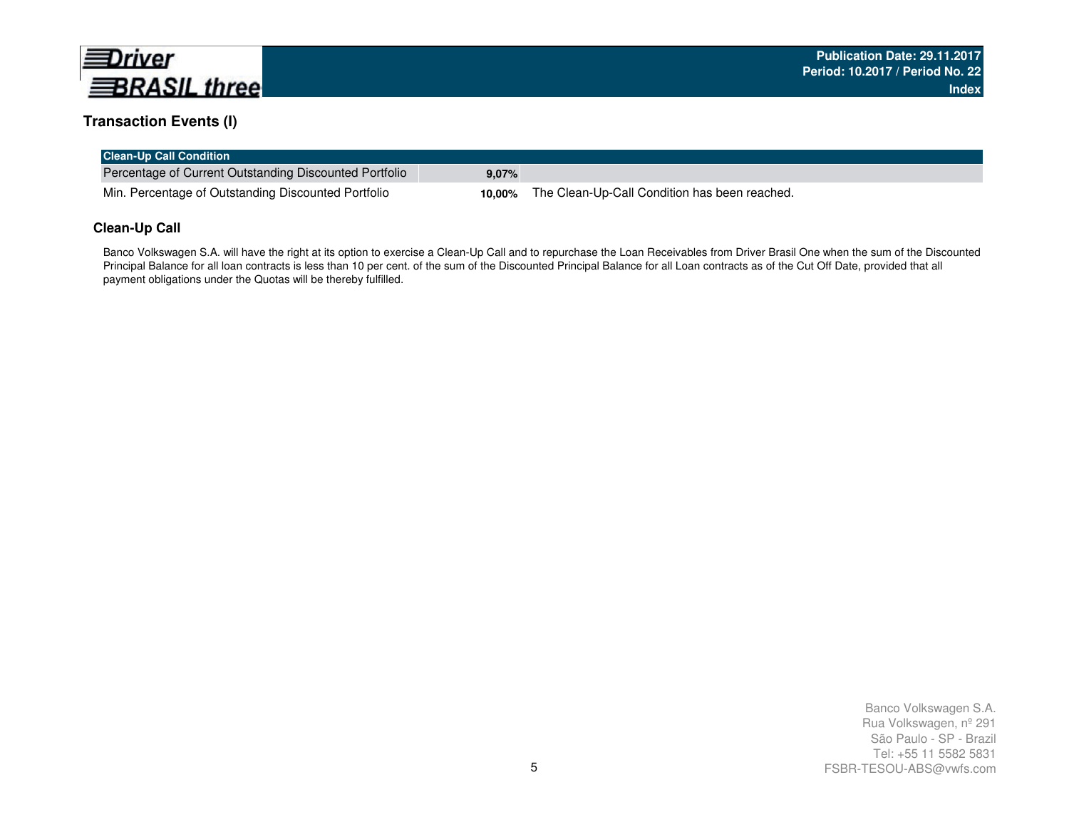

## **Transaction Events (I)**

| <b>Clean-Up Call Condition</b>                         |       |                                                      |
|--------------------------------------------------------|-------|------------------------------------------------------|
| Percentage of Current Outstanding Discounted Portfolio | 9,07% |                                                      |
| Min. Percentage of Outstanding Discounted Portfolio    |       | 10,00% The Clean-Up-Call Condition has been reached. |

#### **Clean-Up Call**

Banco Volkswagen S.A. will have the right at its option to exercise a Clean-Up Call and to repurchase the Loan Receivables from Driver Brasil One when the sum of the Discounted Principal Balance for all loan contracts is less than 10 per cent. of the sum of the Discounted Principal Balance for all Loan contracts as of the Cut Off Date, provided that all payment obligations under the Quotas will be thereby fulfilled.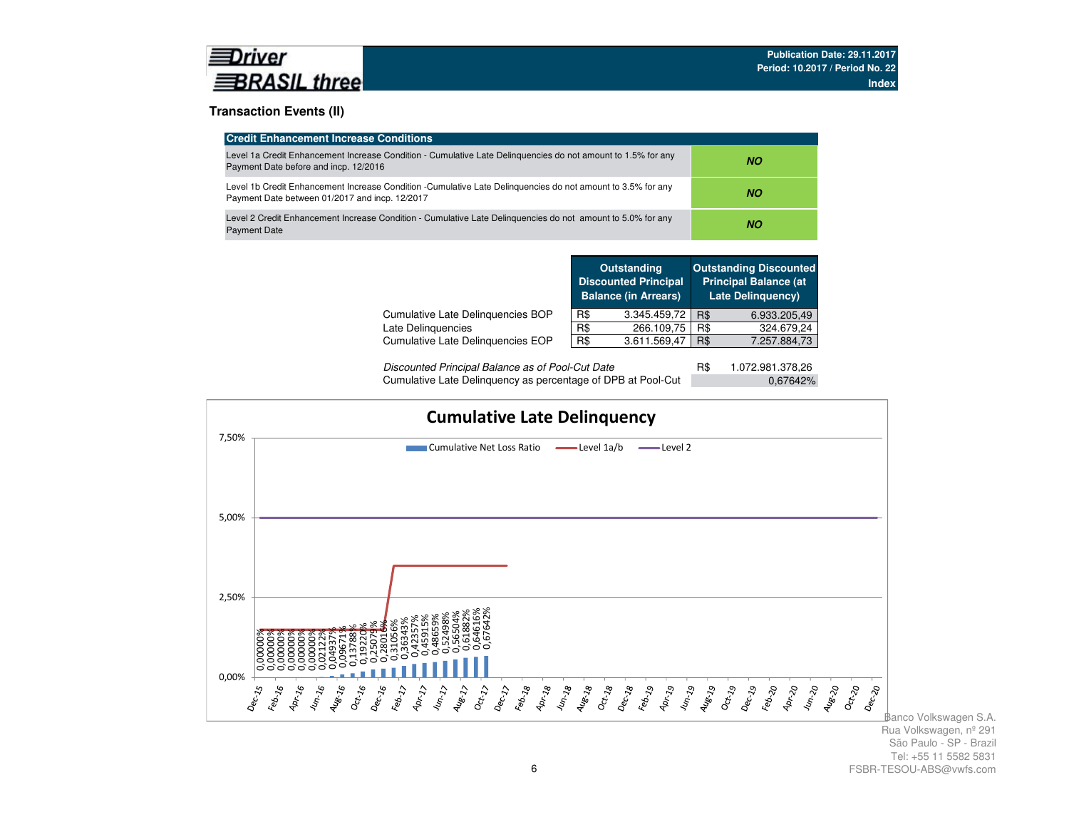

#### **Transaction Events (II)**

| <b>Credit Enhancement Increase Conditions</b>                                                                                                                 |     |
|---------------------------------------------------------------------------------------------------------------------------------------------------------------|-----|
| Level 1a Credit Enhancement Increase Condition - Cumulative Late Delinguencies do not amount to 1.5% for any<br>Payment Date before and incp. 12/2016         | NO. |
| Level 1b Credit Enhancement Increase Condition -Cumulative Late Delinguencies do not amount to 3.5% for any<br>Payment Date between 01/2017 and incp. 12/2017 | NO. |
| Level 2 Credit Enhancement Increase Condition - Cumulative Late Delinguencies do not amount to 5.0% for any<br><b>Payment Date</b>                            | ΝO  |

|                                   |     | <b>Outstanding</b><br><b>Discounted Principal</b><br><b>Balance (in Arrears)</b> |     | <b>Outstanding Discounted</b><br><b>Principal Balance (at</b><br><b>Late Delinguency)</b> |
|-----------------------------------|-----|----------------------------------------------------------------------------------|-----|-------------------------------------------------------------------------------------------|
| Cumulative Late Delinquencies BOP | R\$ | 3.345.459,72                                                                     | R\$ | 6.933.205,49                                                                              |
| Late Delinquencies                | R\$ | 266.109,75                                                                       | R\$ | 324.679,24                                                                                |
| Cumulative Late Delinguencies EOP | R\$ | 3.611.569,47                                                                     | R\$ | 7.257.884,73                                                                              |
|                                   |     |                                                                                  |     |                                                                                           |

| Discounted Principal Balance as of Pool-Cut Date             | 1.072.981.378.26 |  |
|--------------------------------------------------------------|------------------|--|
| Cumulative Late Delinquency as percentage of DPB at Pool-Cut | 0.67642%         |  |

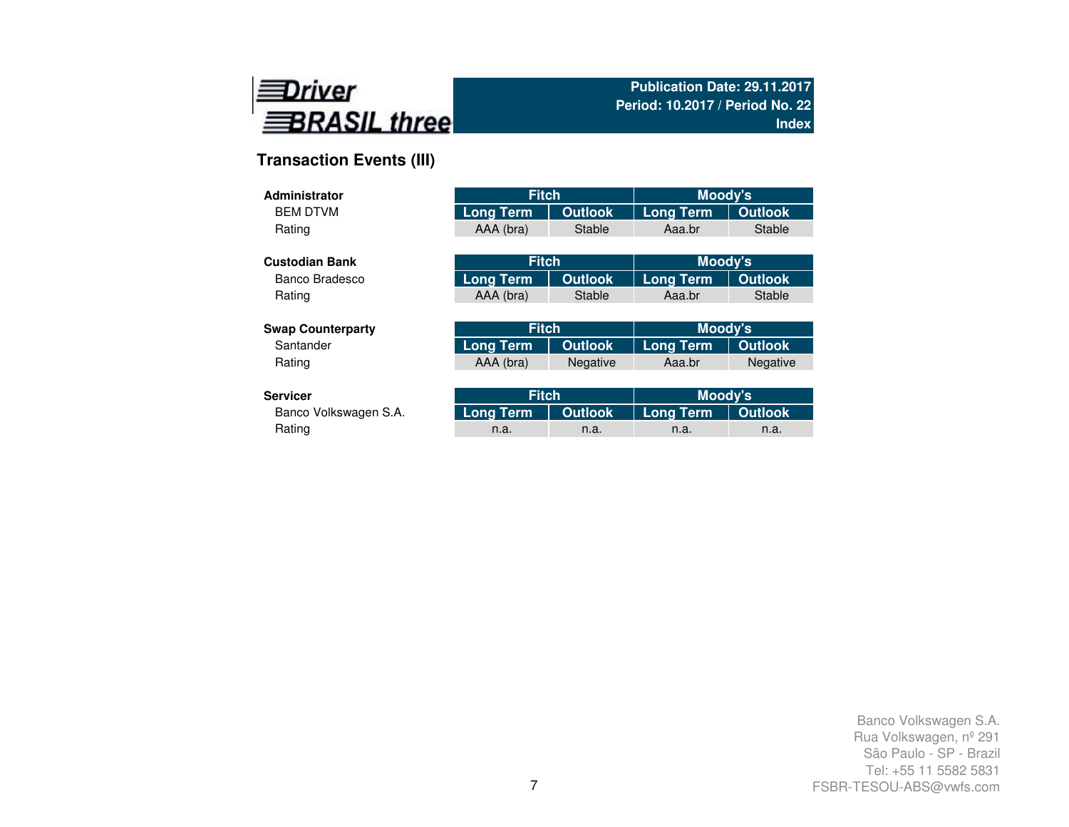

# **Transaction Events (III)**

| <b>Administrator</b>     | <b>Fitch</b>     |                | Moody's          |                 |
|--------------------------|------------------|----------------|------------------|-----------------|
| <b>BEM DTVM</b>          | <b>Long Term</b> | <b>Outlook</b> | <b>Long Term</b> | <b>Outlook</b>  |
| Rating                   | AAA (bra)        | <b>Stable</b>  | Aaa.br           | <b>Stable</b>   |
|                          |                  |                |                  |                 |
| <b>Custodian Bank</b>    | <b>Fitch</b>     |                | Moody's          |                 |
| Banco Bradesco           | <b>Long Term</b> | <b>Outlook</b> | <b>Long Term</b> | <b>Outlook</b>  |
| Rating                   | AAA (bra)        | <b>Stable</b>  | Aaa.br           | <b>Stable</b>   |
|                          |                  |                |                  |                 |
| <b>Swap Counterparty</b> | <b>Fitch</b>     |                | Moody's          |                 |
| Santander                | <b>Long Term</b> | <b>Outlook</b> | <b>Long Term</b> | <b>Outlook</b>  |
| Rating                   | AAA (bra)        | Negative       | Aaa.br           | <b>Negative</b> |
|                          |                  |                |                  |                 |
| <b>Servicer</b>          | <b>Fitch</b>     |                | Moody's          |                 |
| Banco Volkswagen S.A.    | Long Term        | <b>Outlook</b> | Long Term        | <b>Outlook</b>  |

| rvicer؛               | <b>Fitch</b>                              |      | Moody's |      |  |
|-----------------------|-------------------------------------------|------|---------|------|--|
| Banco Volkswagen S.A. | Long Term   Outlook   Long Term   Outlook |      |         |      |  |
| Rating                | n.a.                                      | n.a. | n.a.    | n.a. |  |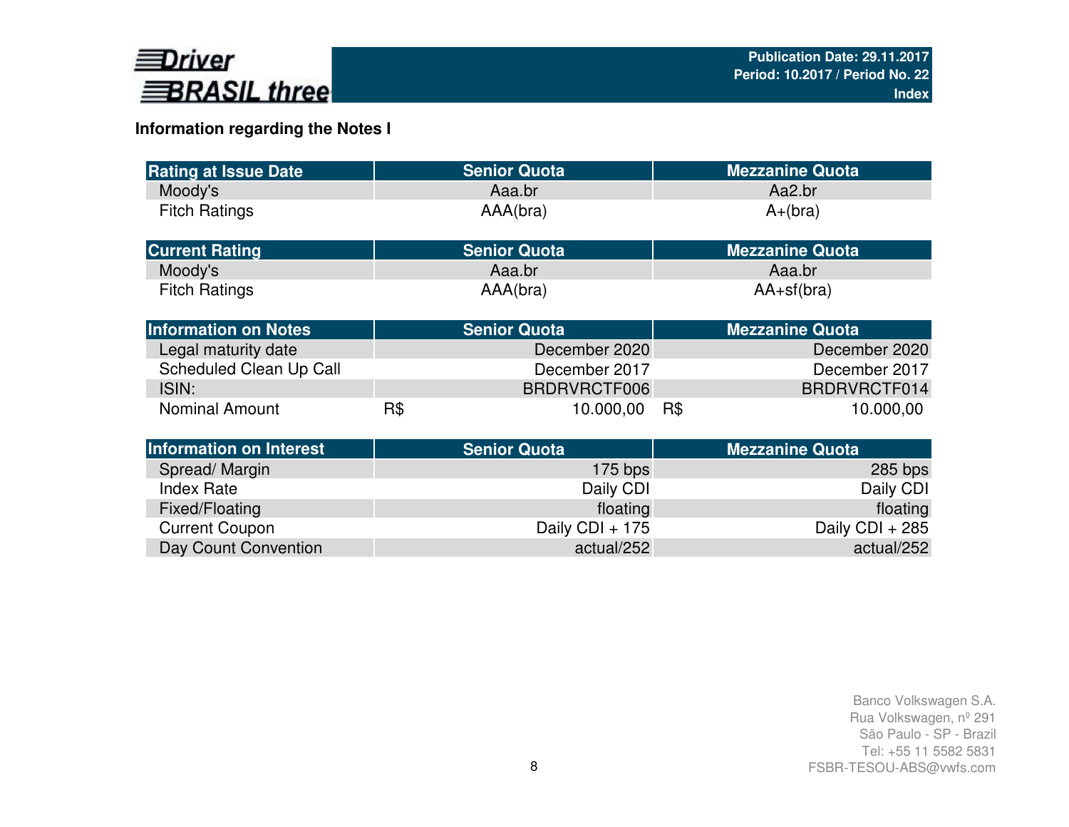

# **Information regarding the Notes I**

| <b>Rating at Issue Date</b>    |     | <b>Senior Quota</b> | <b>Mezzanine Quota</b> |
|--------------------------------|-----|---------------------|------------------------|
| Moody's                        |     | Aaa.br              | Aa2.br                 |
| <b>Fitch Ratings</b>           |     | AAA(bra)            | $A+(bra)$              |
| <b>Current Rating</b>          |     | <b>Senior Quota</b> | <b>Mezzanine Quota</b> |
| Moody's                        |     | Aaa.br              | Aaa.br                 |
| <b>Fitch Ratings</b>           |     | AAA(bra)            | $AA+sf(bra)$           |
| <b>Information on Notes</b>    |     | <b>Senior Quota</b> | <b>Mezzanine Quota</b> |
| Legal maturity date            |     | December 2020       | December 2020          |
| Scheduled Clean Up Call        |     | December 2017       | December 2017          |
| ISIN:                          |     | BRDRVRCTF006        | BRDRVRCTF014           |
| <b>Nominal Amount</b>          | R\$ | 10.000,00           | R\$<br>10.000,00       |
| <b>Information on Interest</b> |     | <b>Senior Quota</b> | <b>Mezzanine Quota</b> |
| Spread/Margin                  |     | $175$ bps           | $285$ bps              |
| <b>Index Rate</b>              |     | Daily CDI           | Daily CDI              |
| Fixed/Floating                 |     | floating            | floating               |
| <b>Current Coupon</b>          |     | Daily CDI + 175     | Daily CDI + 285        |
| Day Count Convention           |     | actual/252          | actual/252             |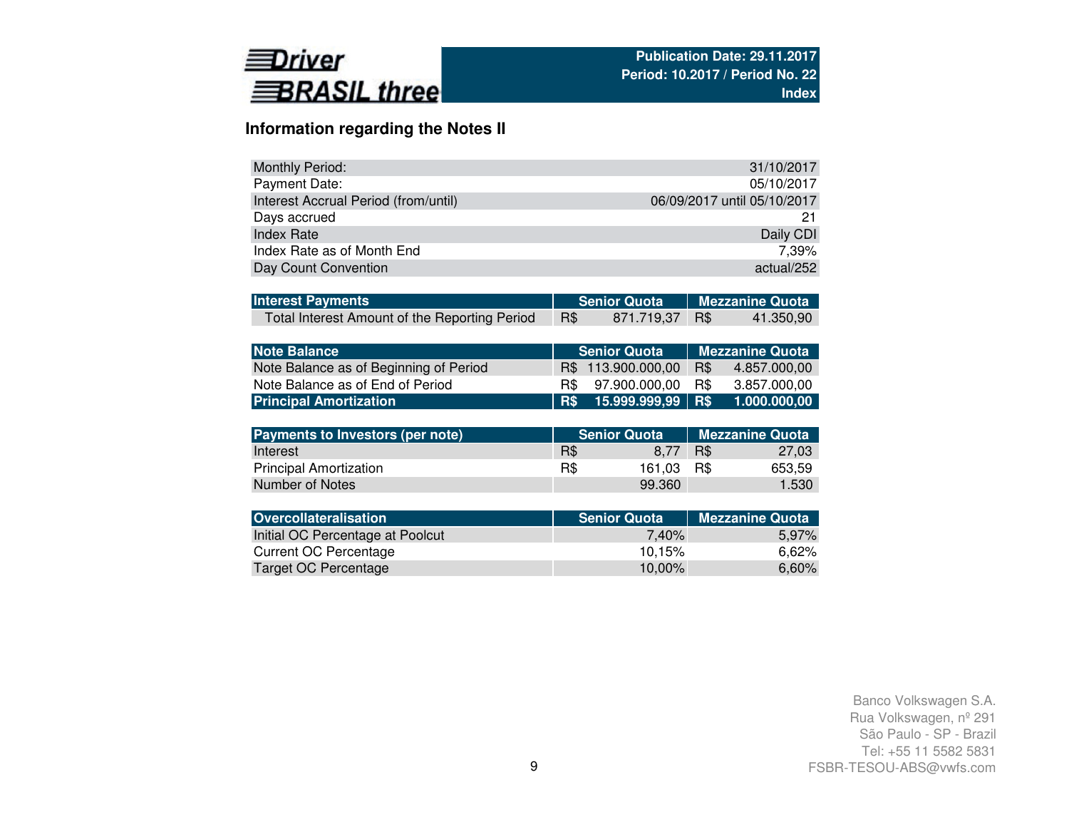

## **Information regarding the Notes II**

| <b>Monthly Period:</b>               | 31/10/2017                  |
|--------------------------------------|-----------------------------|
| Payment Date:                        | 05/10/2017                  |
| Interest Accrual Period (from/until) | 06/09/2017 until 05/10/2017 |
| Days accrued                         |                             |
| Index Rate                           | Daily CDI                   |
| Index Rate as of Month End           | 7.39%                       |
| Day Count Convention                 | actual/252                  |

| <b>Interest Payments</b>                      |     |                | Senior Quota Mezzanine Quota |           |  |
|-----------------------------------------------|-----|----------------|------------------------------|-----------|--|
| Total Interest Amount of the Reporting Period | R\$ | 871.719.37 R\$ |                              | 41.350.90 |  |

| Note Balance                           |  | <b>Senior Quota</b>   | Mezzanine Quota |              |  |  |
|----------------------------------------|--|-----------------------|-----------------|--------------|--|--|
| Note Balance as of Beginning of Period |  | R\$ 113,900,000,00    | R\$             | 4.857.000.00 |  |  |
| Note Balance as of End of Period       |  | R\$ 97.900.000.00     | R\$             | 3.857.000.00 |  |  |
| <b>Principal Amortization</b>          |  | R\$ 15.999.999.99 R\$ |                 | 1.000.000,00 |  |  |

| Payments to Investors (per note) |     | <b>Senior Quota</b> | Mezzanine Quota |        |  |
|----------------------------------|-----|---------------------|-----------------|--------|--|
| Interest                         | R\$ | 8.77                | R\$             | 27.03  |  |
| <b>Principal Amortization</b>    | R\$ | 161.03              | - R\$           | 653.59 |  |
| Number of Notes                  |     | 99.360              |                 | 1.530  |  |

| <b>Senior Quota</b> | <b>Mezzanine Quota</b> |
|---------------------|------------------------|
| 7.40%               | 5,97%                  |
| 10.15%              | 6.62%                  |
| 10.00%              | 6,60%                  |
|                     |                        |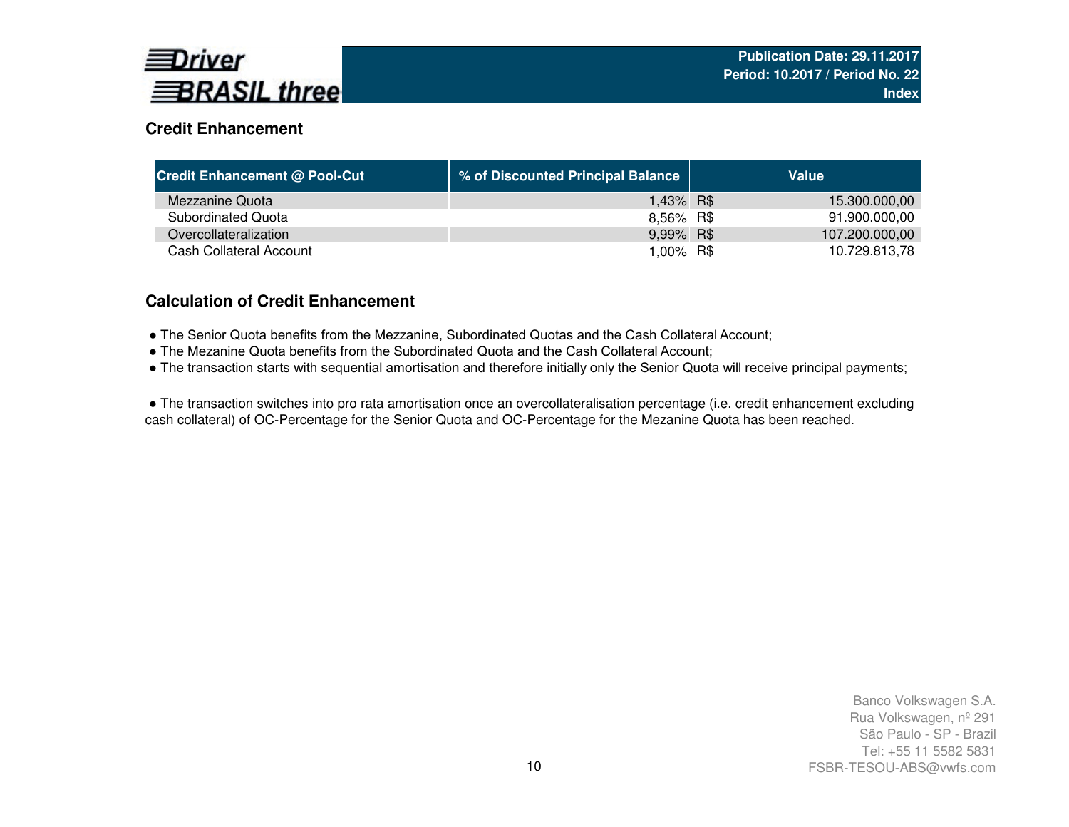

## **Credit Enhancement**

| <b>Credit Enhancement @ Pool-Cut</b> | % of Discounted Principal Balance | Value          |
|--------------------------------------|-----------------------------------|----------------|
| Mezzanine Quota                      | 1,43% R\$                         | 15.300.000,00  |
| Subordinated Quota                   | 8,56% R\$                         | 91.900.000,00  |
| Overcollateralization                | 9,99% R\$                         | 107.200.000,00 |
| Cash Collateral Account              | 1,00% R\$                         | 10.729.813,78  |

## **Calculation of Credit Enhancement**

- The Senior Quota benefits from the Mezzanine, Subordinated Quotas and the Cash Collateral Account;
- The Mezanine Quota benefits from the Subordinated Quota and the Cash Collateral Account;
- The transaction starts with sequential amortisation and therefore initially only the Senior Quota will receive principal payments;

● The transaction switches into pro rata amortisation once an overcollateralisation percentage (i.e. credit enhancement excluding cash collateral) of OC-Percentage for the Senior Quota and OC-Percentage for the Mezanine Quota has been reached.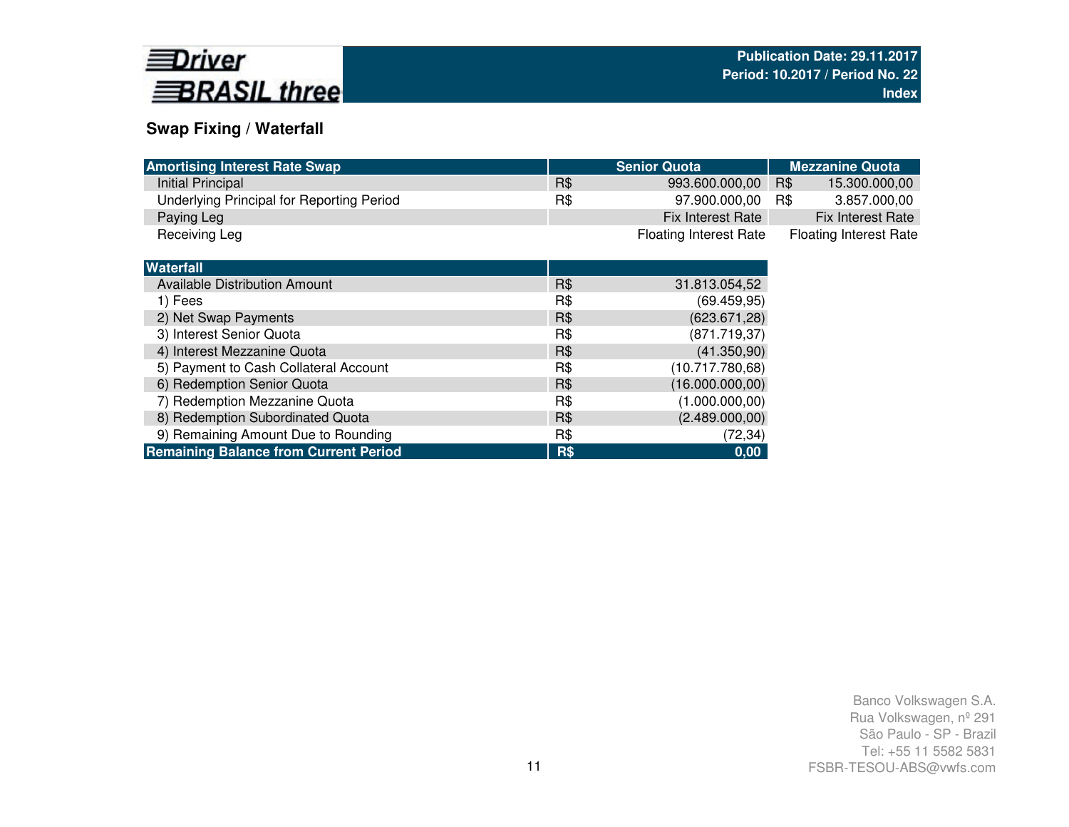

## **Swap Fixing / Waterfall**

| <b>Amortising Interest Rate Swap</b>         |     | <b>Senior Quota</b>           | <b>Mezzanine Quota</b>        |
|----------------------------------------------|-----|-------------------------------|-------------------------------|
| Initial Principal                            | R\$ | 993.600.000,00                | R\$<br>15.300.000,00          |
| Underlying Principal for Reporting Period    | R\$ | 97.900.000,00                 | 3.857.000,00<br>R\$           |
| Paying Leg                                   |     | Fix Interest Rate             | Fix Interest Rate             |
| Receiving Leg                                |     | <b>Floating Interest Rate</b> | <b>Floating Interest Rate</b> |
|                                              |     |                               |                               |
| <b>Waterfall</b>                             |     |                               |                               |
| Available Distribution Amount                | R\$ | 31.813.054,52                 |                               |
| 1) Fees                                      | R\$ | (69.459, 95)                  |                               |
| 2) Net Swap Payments                         | R\$ | (623.671, 28)                 |                               |
| 3) Interest Senior Quota                     | R\$ | (871.719, 37)                 |                               |
| 4) Interest Mezzanine Quota                  | R\$ | (41.350,90)                   |                               |
| 5) Payment to Cash Collateral Account        | R\$ | (10.717.780,68)               |                               |
| 6) Redemption Senior Quota                   | R\$ | (16.000.000, 00)              |                               |
| 7) Redemption Mezzanine Quota                | R\$ | (1.000.000, 00)               |                               |
| 8) Redemption Subordinated Quota             | R\$ | (2.489.000,00)                |                               |
| 9) Remaining Amount Due to Rounding          | R\$ | (72, 34)                      |                               |
| <b>Remaining Balance from Current Period</b> | R\$ | 0,00                          |                               |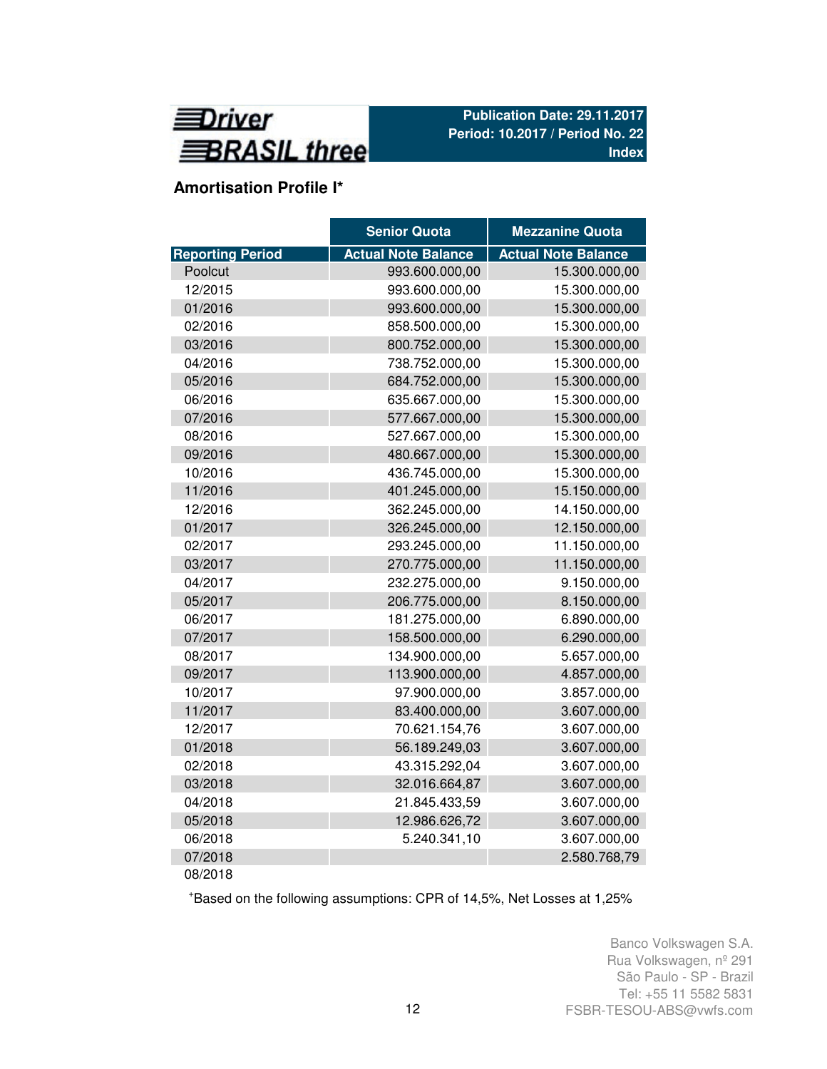

# **Amortisation Profile I\***

|                         | <b>Senior Quota</b>        | <b>Mezzanine Quota</b>     |
|-------------------------|----------------------------|----------------------------|
| <b>Reporting Period</b> | <b>Actual Note Balance</b> | <b>Actual Note Balance</b> |
| Poolcut                 | 993.600.000,00             | 15.300.000,00              |
| 12/2015                 | 993.600.000,00             | 15.300.000,00              |
| 01/2016                 | 993.600.000,00             | 15.300.000,00              |
| 02/2016                 | 858.500.000,00             | 15.300.000,00              |
| 03/2016                 | 800.752.000,00             | 15.300.000,00              |
| 04/2016                 | 738.752.000,00             | 15.300.000,00              |
| 05/2016                 | 684.752.000,00             | 15.300.000,00              |
| 06/2016                 | 635.667.000,00             | 15.300.000,00              |
| 07/2016                 | 577.667.000,00             | 15.300.000,00              |
| 08/2016                 | 527.667.000,00             | 15.300.000,00              |
| 09/2016                 | 480.667.000,00             | 15.300.000,00              |
| 10/2016                 | 436.745.000,00             | 15.300.000,00              |
| 11/2016                 | 401.245.000,00             | 15.150.000,00              |
| 12/2016                 | 362.245.000,00             | 14.150.000,00              |
| 01/2017                 | 326.245.000,00             | 12.150.000,00              |
| 02/2017                 | 293.245.000,00             | 11.150.000,00              |
| 03/2017                 | 270.775.000,00             | 11.150.000,00              |
| 04/2017                 | 232.275.000,00             | 9.150.000,00               |
| 05/2017                 | 206.775.000,00             | 8.150.000,00               |
| 06/2017                 | 181.275.000,00             | 6.890.000,00               |
| 07/2017                 | 158.500.000,00             | 6.290.000,00               |
| 08/2017                 | 134.900.000,00             | 5.657.000,00               |
| 09/2017                 | 113.900.000,00             | 4.857.000,00               |
| 10/2017                 | 97.900.000,00              | 3.857.000,00               |
| 11/2017                 | 83.400.000,00              | 3.607.000,00               |
| 12/2017                 | 70.621.154,76              | 3.607.000,00               |
| 01/2018                 | 56.189.249,03              | 3.607.000,00               |
| 02/2018                 | 43.315.292,04              | 3.607.000,00               |
| 03/2018                 | 32.016.664,87              | 3.607.000,00               |
| 04/2018                 | 21.845.433,59              | 3.607.000,00               |
| 05/2018                 | 12.986.626,72              | 3.607.000,00               |
| 06/2018                 | 5.240.341,10               | 3.607.000,00               |
| 07/2018                 |                            | 2.580.768,79               |
| 08/2018                 |                            |                            |

<sup>+</sup>Based on the following assumptions: CPR of 14,5%, Net Losses at 1,25%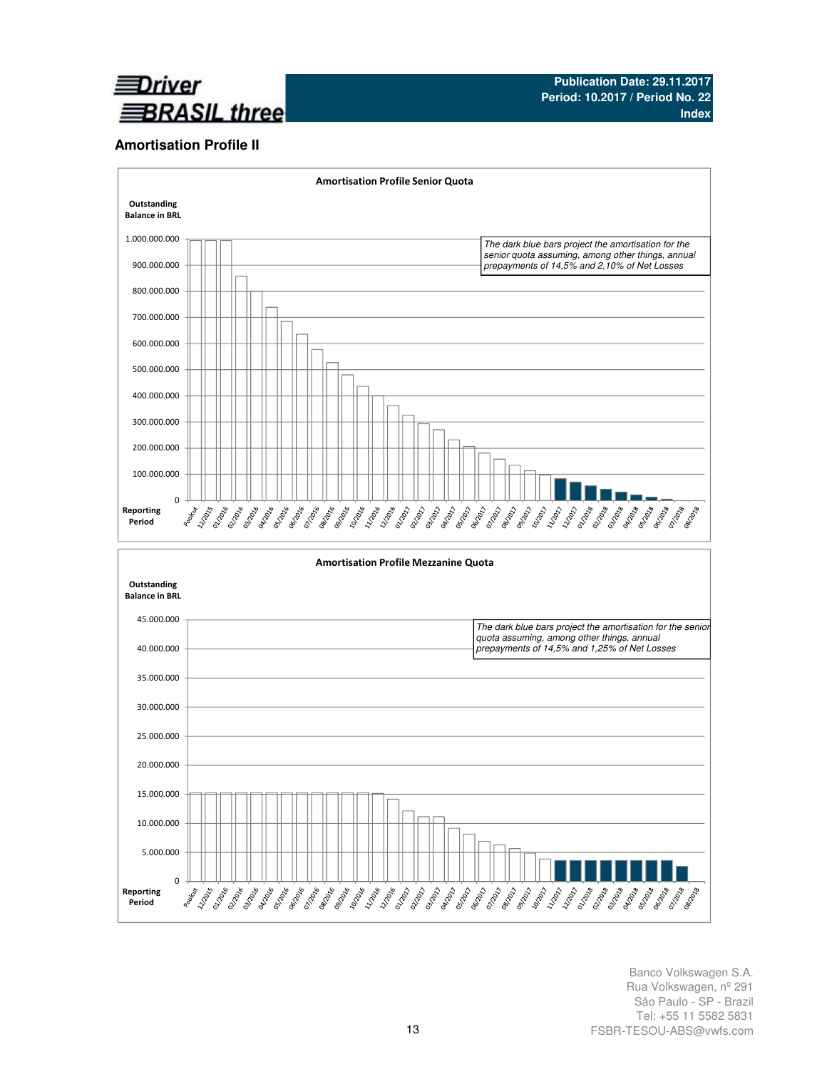

### **Amortisation Profile II**

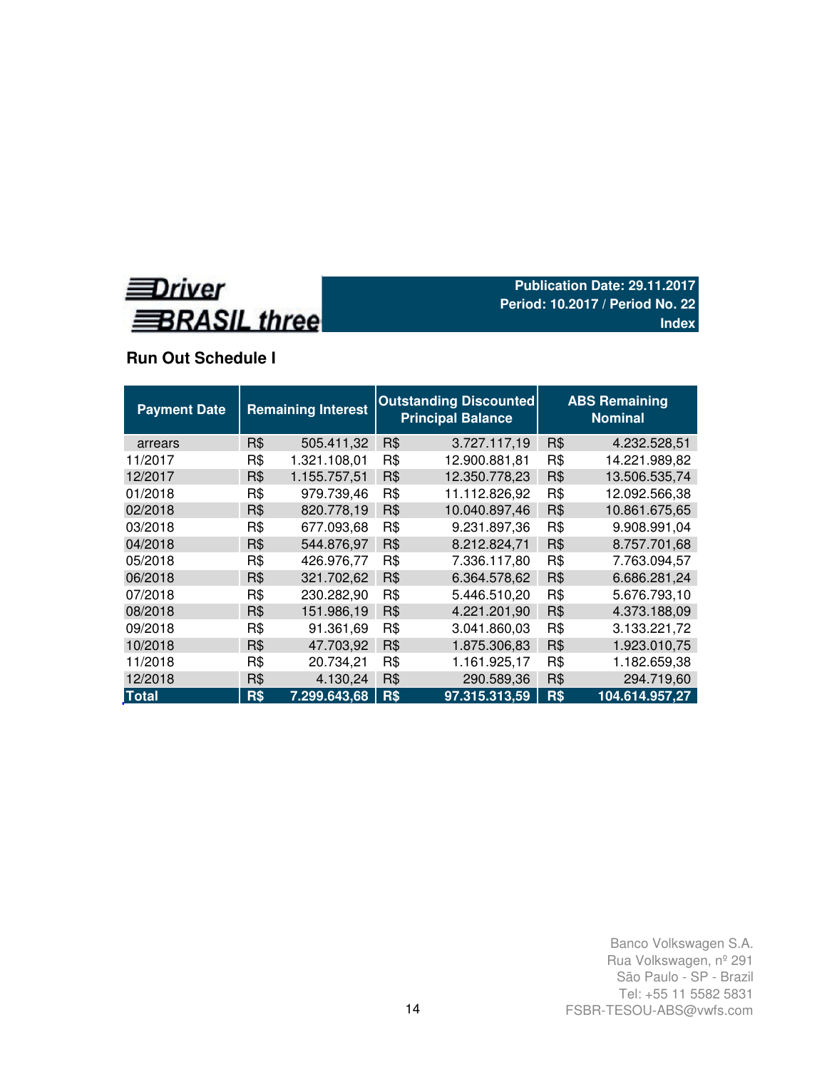

# **Run Out Schedule I**

| <b>Payment Date</b> | <b>Remaining Interest</b> |              |     | <b>Outstanding Discounted</b><br><b>Principal Balance</b> |     |                |  |
|---------------------|---------------------------|--------------|-----|-----------------------------------------------------------|-----|----------------|--|
| arrears             | R\$                       | 505.411,32   | R\$ | 3.727.117,19                                              | R\$ | 4.232.528,51   |  |
| 11/2017             | R\$                       | 1.321.108,01 | R\$ | 12.900.881,81                                             | R\$ | 14.221.989,82  |  |
| 12/2017             | R\$                       | 1.155.757,51 | R\$ | 12.350.778,23                                             | R\$ | 13.506.535,74  |  |
| 01/2018             | R\$                       | 979.739,46   | R\$ | 11.112.826,92                                             | R\$ | 12.092.566,38  |  |
| 02/2018             | R\$                       | 820.778,19   | R\$ | 10.040.897,46                                             | R\$ | 10.861.675,65  |  |
| 03/2018             | R\$                       | 677.093,68   | R\$ | 9.231.897,36                                              | R\$ | 9.908.991,04   |  |
| 04/2018             | R\$                       | 544.876,97   | R\$ | 8.212.824,71                                              | R\$ | 8.757.701,68   |  |
| 05/2018             | R\$                       | 426.976,77   | R\$ | 7.336.117,80                                              | R\$ | 7.763.094,57   |  |
| 06/2018             | R\$                       | 321.702,62   | R\$ | 6.364.578,62                                              | R\$ | 6.686.281,24   |  |
| 07/2018             | R\$                       | 230.282,90   | R\$ | 5.446.510,20                                              | R\$ | 5.676.793,10   |  |
| 08/2018             | R\$                       | 151.986,19   | R\$ | 4.221.201,90                                              | R\$ | 4.373.188,09   |  |
| 09/2018             | R\$                       | 91.361,69    | R\$ | 3.041.860,03                                              | R\$ | 3.133.221,72   |  |
| 10/2018             | R\$                       | 47.703,92    | R\$ | 1.875.306,83                                              | R\$ | 1.923.010,75   |  |
| 11/2018             | R\$                       | 20.734,21    | R\$ | 1.161.925,17                                              | R\$ | 1.182.659,38   |  |
| 12/2018             | R\$                       | 4.130,24     | R\$ | 290.589,36                                                | R\$ | 294.719,60     |  |
| <b>Total</b>        | R\$                       | 7.299.643,68 | R\$ | 97.315.313,59                                             | R\$ | 104.614.957,27 |  |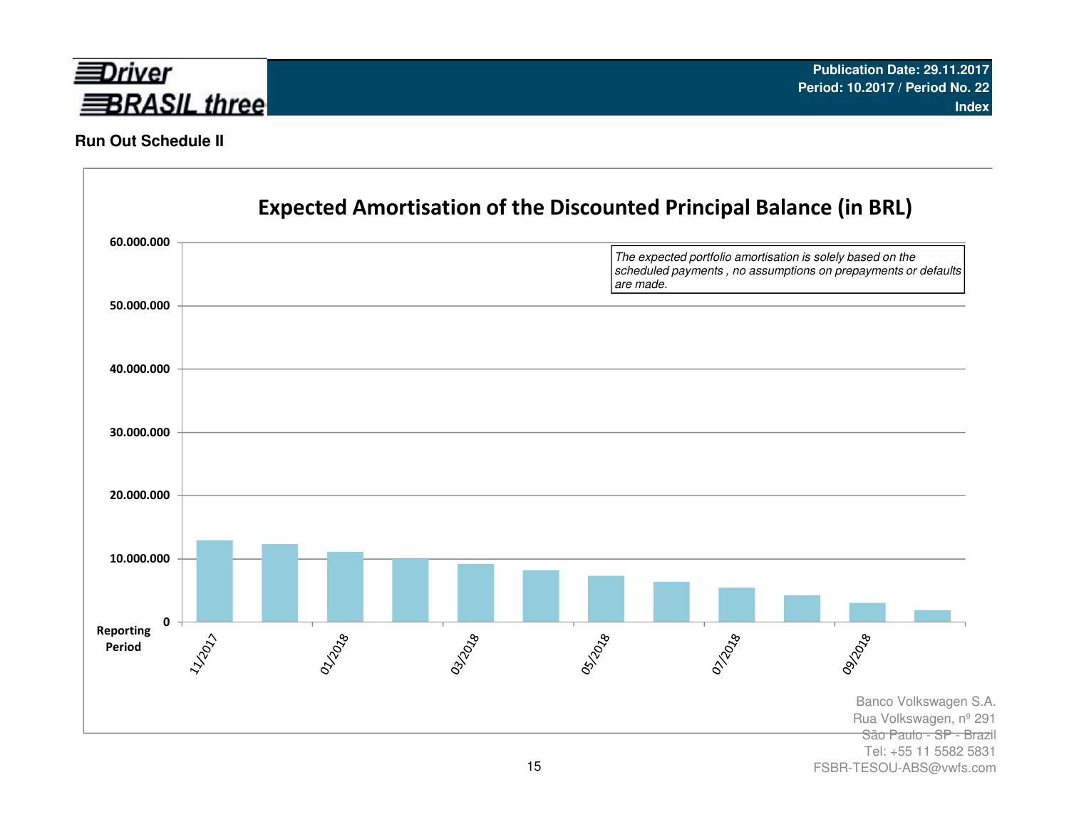

## **Run Out Schedule II**



FSBR-TESOU-ABS@vwfs.com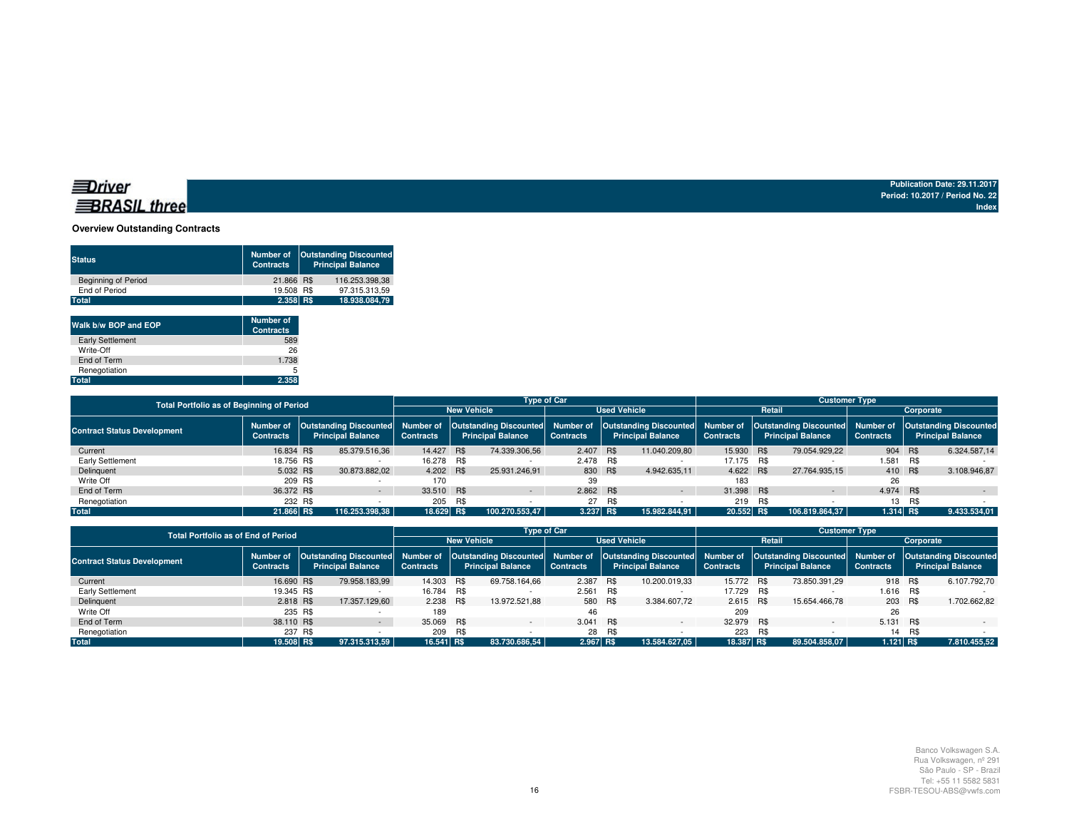## **BRASIL** three

**Publication Date: 29.11.2017 Period: 10.2017 / Period No. 22Index**

#### **Overview Outstanding Contracts**

| <b>Outstanding Discounted</b><br>Number of<br><b>Principal Balance</b><br><b>Contracts</b> | <b>Status</b>              |
|--------------------------------------------------------------------------------------------|----------------------------|
| 116.253.398.38<br>21.866 R\$                                                               | <b>Beginning of Period</b> |
| 97.315.313.59<br>19,508 R\$                                                                | End of Period              |
| $2.358$ R\$<br>18.938.084.79                                                               | <b>Total</b>               |
|                                                                                            |                            |

| Walk b/w BOP and EOP    | <b>Number of</b><br><b>Contracts</b> |
|-------------------------|--------------------------------------|
| <b>Early Settlement</b> | 589                                  |
| Write-Off               | 26                                   |
| End of Term             | 1.738                                |
| Renegotiation           | 5                                    |
| <b>Total</b>            | 2.358                                |

|                                    | <b>Type of Car</b><br><b>Customer Type</b><br><b>Total Portfolio as of Beginning of Period</b> |                                                              |                    |     |                          |                     |        |                                                                                                                                                             |                  |            |                          |                  |     |                          |
|------------------------------------|------------------------------------------------------------------------------------------------|--------------------------------------------------------------|--------------------|-----|--------------------------|---------------------|--------|-------------------------------------------------------------------------------------------------------------------------------------------------------------|------------------|------------|--------------------------|------------------|-----|--------------------------|
|                                    |                                                                                                |                                                              | <b>New Vehicle</b> |     |                          | <b>Used Vehicle</b> |        |                                                                                                                                                             |                  | Retail     | Corporate                |                  |     |                          |
| <b>Contract Status Development</b> | Number of<br><b>Contracts</b>                                                                  | Outstanding Discounted Number of<br><b>Principal Balance</b> | <b>Contracts</b>   |     | <b>Principal Balance</b> | <b>Contracts</b>    |        | Outstanding Discounted  Number of  Outstanding Discounted  Number of  Outstanding Discounted  Number of  Outstanding Discounted<br><b>Principal Balance</b> | <b>Contracts</b> |            | <b>Principal Balance</b> | <b>Contracts</b> |     | <b>Principal Balance</b> |
| Current                            | 16.834 R\$                                                                                     | 85.379.516.36                                                | 14.427 R\$         |     | 74.339.306.56            | 2.407 R\$           |        | 11.040.209.80                                                                                                                                               | 15.930 R\$       |            | 79.054.929.22            | 904 R\$          |     | 6.324.587,14             |
| Early Settlement                   | 18.756 R\$                                                                                     |                                                              | 16.278 R\$         |     |                          | 2.478 R\$           |        |                                                                                                                                                             | 17.175 R\$       |            |                          | 1.581 R\$        |     |                          |
| Delinquent                         | 5.032 R\$                                                                                      | 30.873.882.02                                                | 4.202 R\$          |     | 25.931.246.91            | 830 R\$             |        | 4.942.635.11                                                                                                                                                | 4.622 R\$        |            | 27.764.935.15            | 410 R\$          |     | 3.108.946.87             |
| Write Off                          | 209 R\$                                                                                        |                                                              | 170                |     |                          | 39                  |        |                                                                                                                                                             | 183              |            |                          | 26               |     |                          |
| End of Term                        | 36,372 R\$                                                                                     |                                                              | 33.510 R\$         |     | $\sim$                   | 2.862 R\$           |        | $\sim$                                                                                                                                                      | 31.398 R\$       |            | $\sim$                   | 4.974 R\$        |     | $\sim$                   |
| Renegotiation                      | 232 R\$                                                                                        |                                                              | 205                | R\$ |                          |                     | 27 R\$ |                                                                                                                                                             | 219              | <b>B.S</b> |                          | 13               | R\$ |                          |
| <b>Total</b>                       | 21.866 RS                                                                                      | 116.253.398.38                                               | 18.629 R\$         |     | 100.270.553,47           | 3.237 R\$           |        | 15.982.844.91                                                                                                                                               | 20.552 R\$       |            | 106.819.864.37           | 1.314 R\$        |     | 9.433.534,01             |

|                                    | <b>Total Portfolio as of End of Period</b> |                    |                          |                  |     |                          | <b>Type of Car</b>  |            |                                                                                                                                                                                                                                               | <b>Customer Type</b> |     |                          |                  |     |                          |  |
|------------------------------------|--------------------------------------------|--------------------|--------------------------|------------------|-----|--------------------------|---------------------|------------|-----------------------------------------------------------------------------------------------------------------------------------------------------------------------------------------------------------------------------------------------|----------------------|-----|--------------------------|------------------|-----|--------------------------|--|
|                                    |                                            | <b>New Vehicle</b> |                          |                  |     |                          | <b>Used Vehicle</b> |            | Retail                                                                                                                                                                                                                                        |                      |     | Corporate                |                  |     |                          |  |
| <b>Contract Status Development</b> | <b>Contracts</b>                           |                    | <b>Principal Balance</b> | <b>Contracts</b> |     | <b>Principal Balance</b> | <b>Contracts</b>    |            | Number of  Outstanding Discounted  Number of  Outstanding Discounted  Number of  Outstanding Discounted  Number of  Outstanding Discounted  Number of  Outstanding Discounted  Number of  Outstanding Discounted <br><b>Principal Balance</b> | <b>Contracts</b>     |     | <b>Principal Balance</b> | <b>Contracts</b> |     | <b>Principal Balance</b> |  |
| Current                            | 16,690 R\$                                 |                    | 79.958.183.99            | 14.303 R\$       |     | 69.758.164.66            | 2.387               | <b>R\$</b> | 10.200.019.33                                                                                                                                                                                                                                 | 15.772 R\$           |     | 73.850.391.29            | 918 R\$          |     | 6.107.792.70             |  |
| Early Settlement                   | 19.345 R\$                                 |                    |                          | 16.784 R\$       |     |                          | 2.561 R\$           |            |                                                                                                                                                                                                                                               | 17.729 R\$           |     |                          | 1.616 R\$        |     |                          |  |
| Delinquent                         | 2.818 R\$                                  |                    | 17.357.129.60            | 2.238 R\$        |     | 13.972.521,88            |                     | 580 R\$    | 3.384.607.72                                                                                                                                                                                                                                  | 2.615 R\$            |     | 15.654.466.78            | 203 R\$          |     | 1.702.662,82             |  |
| Write Off                          |                                            | 235 R\$            |                          | 189              |     |                          | 46                  |            |                                                                                                                                                                                                                                               | 209                  |     |                          | 26               |     |                          |  |
| End of Term                        | 38.110 R\$                                 |                    |                          | 35.069 R\$       |     |                          | 3.041               | R\$        | $\overline{\phantom{0}}$                                                                                                                                                                                                                      | 32.979 R\$           |     | $\overline{\phantom{0}}$ | 5.131 R\$        |     |                          |  |
| Renegotiation                      |                                            | 237 R\$            |                          | 209              | R\$ |                          | 28                  | R\$        |                                                                                                                                                                                                                                               | 223                  | R\$ |                          | 14               | R\$ |                          |  |
| <b>Total</b>                       | 19.508 R\$                                 |                    | 97.315.313.59            | 16.541 R\$       |     | 83.730.686.54            | 2.967 R\$           |            | 13.584.627.05                                                                                                                                                                                                                                 | 18.387 R\$           |     | 89.504.858.07            | 1.121 R\$        |     | 7.810.455,52             |  |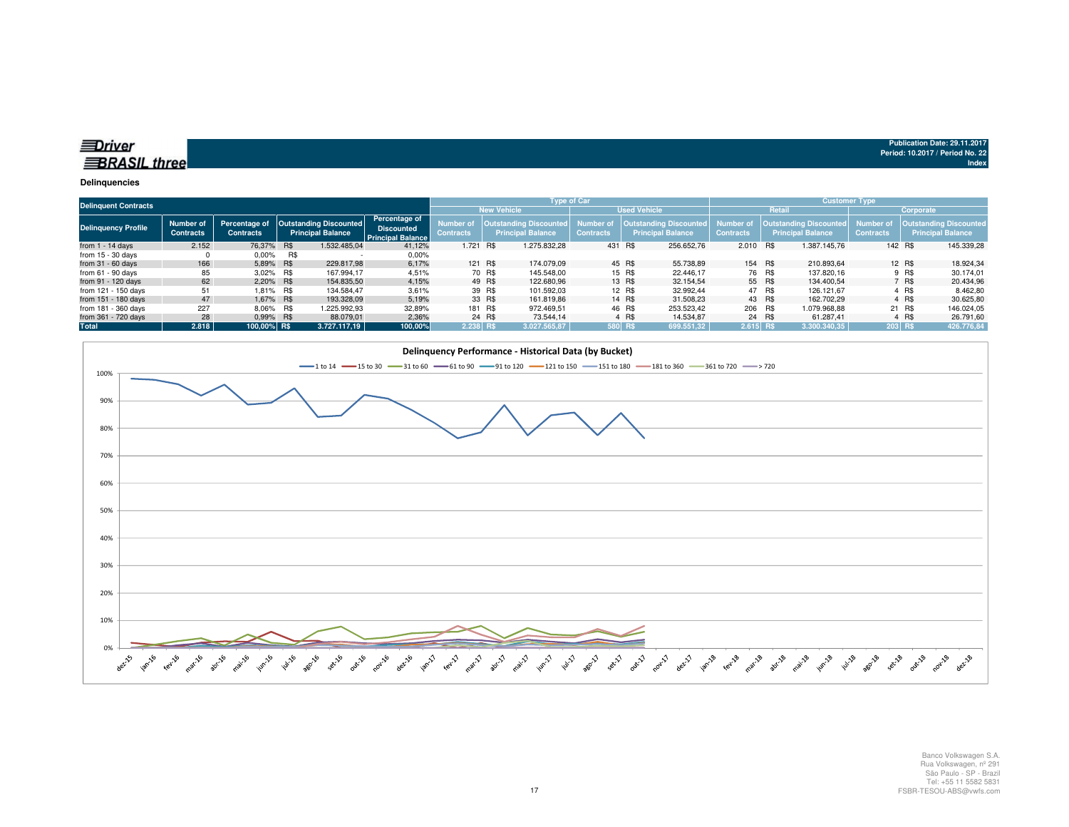| $\equiv$ $\sim$ |  |  |
|-----------------|--|--|
|                 |  |  |

| <b>Delinquent Contracts</b> |                               |                  |            |                                                                    |                                                                |                  |         | Type of Car                                                                |                  |         |                                                           |                               |        | Customer Type                                             |                               |           |                                                    |
|-----------------------------|-------------------------------|------------------|------------|--------------------------------------------------------------------|----------------------------------------------------------------|------------------|---------|----------------------------------------------------------------------------|------------------|---------|-----------------------------------------------------------|-------------------------------|--------|-----------------------------------------------------------|-------------------------------|-----------|----------------------------------------------------|
|                             |                               |                  |            |                                                                    |                                                                |                  |         | <b>New Vehicle</b>                                                         |                  |         | <b>Used Vehicle</b>                                       |                               |        | Retail                                                    |                               | Corporate |                                                    |
| <b>Delinguency Profile</b>  | Number of<br><b>Contracts</b> | <b>Contracts</b> |            | Percentage of   Outstanding Discounted<br><b>Principal Balance</b> | Percentage of<br><b>Discounted</b><br><b>Principal Balance</b> | <b>Contracts</b> |         | Number of   Outstanding Discounted   Number of<br><b>Principal Balance</b> | <b>Contracts</b> |         | <b>Outstanding Discounted</b><br><b>Principal Balance</b> | Number of<br><b>Contracts</b> |        | <b>Outstanding Discounted</b><br><b>Principal Balance</b> | Number of<br><b>Contracts</b> |           | Outstanding Discounted<br><b>Principal Balance</b> |
| from $1 - 14$ days          | 2.152                         | 76.37% R\$       |            | 1.532.485.04                                                       | 41.12%                                                         | 1.721 R\$        |         | 1.275.832.28                                                               |                  | 431 R\$ | 256.652.76                                                | 2.010 R\$                     |        | 1.387.145.76                                              |                               | 142 R\$   | 145.339,28                                         |
| from $15 - 30$ days         |                               | $0.00\%$         | R\$        |                                                                    | 0.00%                                                          |                  |         |                                                                            |                  |         |                                                           |                               |        |                                                           |                               |           |                                                    |
| from $31 - 60$ days         | 166                           | 5.89%            | <b>R\$</b> | 229.817.98                                                         | 6,17%                                                          |                  | 121 R\$ | 174.079.09                                                                 |                  | 45 R\$  | 55.738.89                                                 | 154 R\$                       |        | 210.893.64                                                |                               | 12 R\$    | 18.924,34                                          |
| from $61 - 90$ days         | 85                            | $3.02\%$         | R\$        | 167.994.17                                                         | 4,51%                                                          |                  | 70 R\$  | 145.548.00                                                                 |                  | 15 R\$  | 22.446.17                                                 |                               | 76 R\$ | 137.820.16                                                |                               | 9 R\$     | 30.174.01                                          |
| from 91 - 120 days          | 62                            | 2.20% R\$        |            | 154.835.50                                                         | 4,15%                                                          |                  | 49 R\$  | 122.680.96                                                                 |                  | 13 R\$  | 32.154.54                                                 |                               | 55 R\$ | 134.400.54                                                |                               | 7 R\$     | 20.434,96                                          |
| from 121 - 150 days         | 51                            | 1.81% R\$        |            | 134.584.47                                                         | 3,61%                                                          |                  | 39 R\$  | 101.592.03                                                                 |                  | 12 R\$  | 32.992.44                                                 |                               | 47 R\$ | 126.121.67                                                |                               | 4 R\$     | 8.462,80                                           |
| from 151 - 180 days         | 47                            | 1.67% R\$        |            | 193.328.09                                                         | 5.19%                                                          |                  | 33 R\$  | 161.819.86                                                                 |                  | 14 R\$  | 31.508.23                                                 |                               | 43 R\$ | 162.702.29                                                |                               | 4 R\$     | 30.625.80                                          |
| from 181 - 360 days         | 227                           | 8.06% R\$        |            | 1.225.992.93                                                       | 32,89%                                                         |                  | 181 R\$ | 972.469.51                                                                 |                  | 46 R\$  | 253.523,42                                                | 206 R\$                       |        | 1.079.968.88                                              |                               | 21 R\$    | 146.024,05                                         |
| from 361 - 720 days         | 28                            | 0.99% R\$        |            | 88.079.01                                                          | 2,36%                                                          |                  | 24 R\$  | 73.544.14                                                                  |                  | 4 R\$   | 14.534.87                                                 |                               | 24 R\$ | 61.287.41                                                 |                               | 4 R\$     | 26.791,60                                          |
| Total                       | 2.818                         | 100.00% R\$      |            | 3.727.117.19                                                       | 100,00%                                                        | 2.238 R\$        |         | 3.027.565.87                                                               |                  | 580 R\$ | 699.551,32                                                | $2.615$ RS                    |        | 13.300.340.35                                             |                               | $203$ R\$ | 426.776,84                                         |



**Index**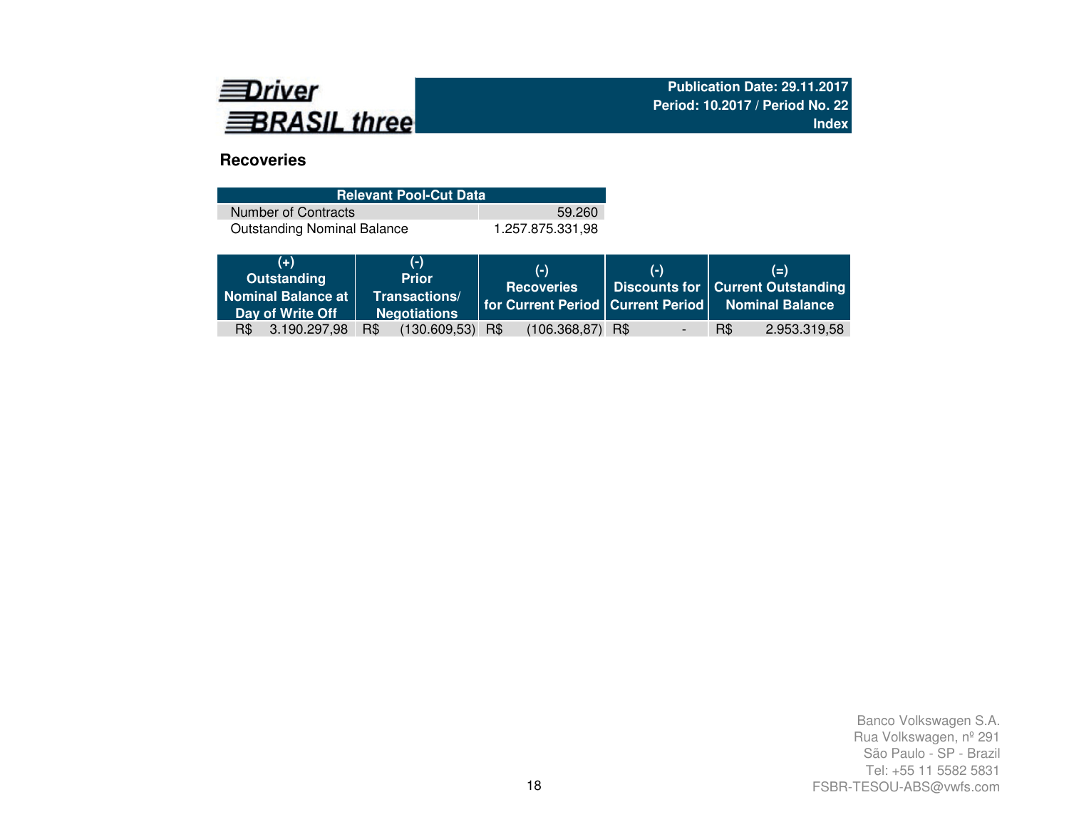

# **Recoveries**

| <b>Relevant Pool-Cut Data</b>      |                  |
|------------------------------------|------------------|
| Number of Contracts                | 59.260           |
| <b>Outstanding Nominal Balance</b> | 1.257.875.331.98 |

| $(+)$<br>Outstanding<br>Nominal Balance at<br>Day of Write Off | $(-)$<br><b>Prior</b><br>Transactions/<br><b>Negotiations</b> | $(-)$<br><b>Recoveries</b> | $(-)$ | $(=)$<br>Discounts for   Current Outstanding<br>  for Current Period   Current Period   Nominal Balance |
|----------------------------------------------------------------|---------------------------------------------------------------|----------------------------|-------|---------------------------------------------------------------------------------------------------------|
| $R\$<br>3.190.297,98                                           | $(130.609, 53)$ R\$<br>R\$                                    | $(106.368, 87)$ R\$        |       | R\$<br>2.953.319,58                                                                                     |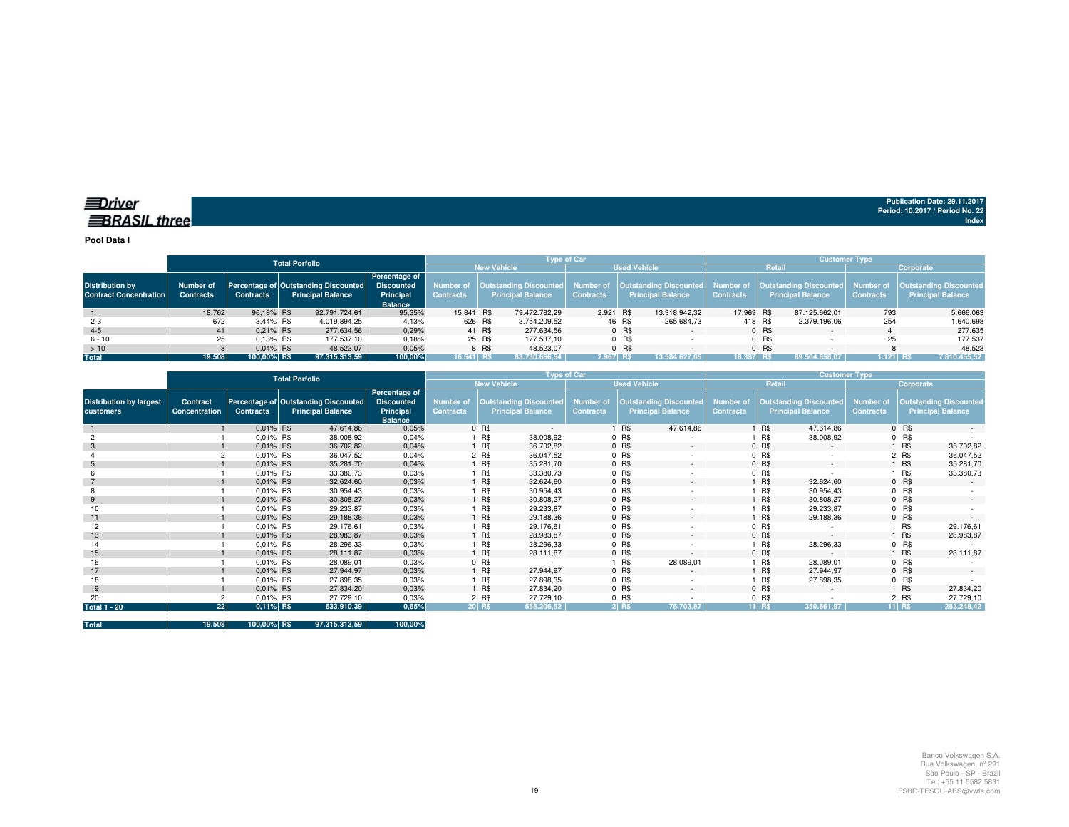**Pool Data I**

|                                                         |                               | Total Porfolio   |  |                                                                  |                                                                   |            | <b>Tvpe of Car</b> |                          |                  |        |                                                                                                       |                  |         | <b>Customer Type</b>                                             |                               |                                                           |  |  |  |
|---------------------------------------------------------|-------------------------------|------------------|--|------------------------------------------------------------------|-------------------------------------------------------------------|------------|--------------------|--------------------------|------------------|--------|-------------------------------------------------------------------------------------------------------|------------------|---------|------------------------------------------------------------------|-------------------------------|-----------------------------------------------------------|--|--|--|
|                                                         |                               |                  |  |                                                                  |                                                                   |            |                    | <b>New Vehicle</b>       |                  |        | <b>Used Vehicle</b>                                                                                   |                  | Retail  |                                                                  |                               | Corporate                                                 |  |  |  |
| <b>Distribution by</b><br><b>Contract Concentration</b> | Number of<br><b>Contracts</b> | <b>Contracts</b> |  | Percentage of Outstanding Discounted<br><b>Principal Balance</b> | Percentage of<br><b>Discounted</b><br>Principal<br><b>Balance</b> | Contracts  |                    | <b>Principal Balance</b> | <b>Contracts</b> |        | Number of   Outstanding Discounted   Number of   Outstanding Discounted  <br><b>Principal Balance</b> | <b>Contracts</b> |         | Number of   Outstanding Discounted  <br><b>Principal Balance</b> | Number of<br><b>Contracts</b> | <b>Outstanding Discounted</b><br><b>Principal Balance</b> |  |  |  |
|                                                         | 18.762                        | 96.18% R\$       |  | 92.791.724.61                                                    | 95.35%                                                            | 15.841 R\$ |                    | 79.472.782,29            | 2.921 R\$        |        | 13.318.942,32                                                                                         | 17.969 R\$       |         | 87.125.662.01                                                    | 793                           | 5.666.063                                                 |  |  |  |
| $2 - 3$                                                 | 672                           | 3.44% R\$        |  | 4.019.894.25                                                     | 4,13%                                                             | 626 R\$    |                    | 3.754.209,52             |                  | 46 R\$ | 265.684,73                                                                                            | 418 R\$          |         | 2.379.196.06                                                     | 254                           | 1.640.698                                                 |  |  |  |
| $4 - 5$                                                 | 41                            | $0.21\%$ R\$     |  | 277.634,56                                                       | 0,29%                                                             |            | 41 R\$             | 277.634.56               |                  | 0 R\$  | $\sim$                                                                                                |                  | 0 R\$   |                                                                  | 41                            | 277.635                                                   |  |  |  |
| $6 - 10$                                                | 25                            | $0.13\%$ R\$     |  | 177.537.10                                                       | 0,18%                                                             |            | 25 R\$             | 177.537.10               |                  | 0 R\$  |                                                                                                       |                  | $0$ R\$ |                                                                  |                               | 177.537                                                   |  |  |  |
| >10                                                     |                               | $0.04\%$ R\$     |  | 48.523.07                                                        | 0,05%                                                             |            | 8 R\$              | 48.523.07                |                  | 0 R\$  |                                                                                                       |                  | $0$ R\$ |                                                                  |                               | 48.523                                                    |  |  |  |
| <b>Total</b>                                            | 19.508                        | 100.00% R\$      |  | 97.315.313.59                                                    | 100,00%                                                           | 16.541 R\$ |                    | 83.730.686.54            | 2.967 RS         |        | 13.584.627.05                                                                                         | 18.387 R\$       |         | 89.504.858.07                                                    | $1.121$ RS                    | 7.810.455,52                                              |  |  |  |

|                                             | <b>Total Porfolio</b>     |                  |                                                                  |                                                                   | Type of Car                          |            |                                                           | <b>Customer Type</b>                 |         |                                                           |                                      |          |                                                           |                                      |         |                                                           |
|---------------------------------------------|---------------------------|------------------|------------------------------------------------------------------|-------------------------------------------------------------------|--------------------------------------|------------|-----------------------------------------------------------|--------------------------------------|---------|-----------------------------------------------------------|--------------------------------------|----------|-----------------------------------------------------------|--------------------------------------|---------|-----------------------------------------------------------|
|                                             |                           |                  |                                                                  |                                                                   |                                      |            | <b>New Vehicle</b>                                        |                                      |         | <b>Used Vehicle</b>                                       |                                      |          | Retail                                                    | Corporate                            |         |                                                           |
| <b>Distribution by largest</b><br>customers | Contract<br>Concentration | <b>Contracts</b> | Percentage of Outstanding Discounted<br><b>Principal Balance</b> | Percentage of<br><b>Discounted</b><br>Principal<br><b>Balance</b> | <b>Number</b> of<br><b>Contracts</b> |            | <b>Outstanding Discounted</b><br><b>Principal Balance</b> | <b>Number of</b><br><b>Contracts</b> |         | <b>Outstanding Discounted</b><br><b>Principal Balance</b> | <b>Number of</b><br><b>Contracts</b> |          | <b>Outstanding Discounted</b><br><b>Principal Balance</b> | <b>Number of</b><br><b>Contracts</b> |         | <b>Outstanding Discounted</b><br><b>Principal Balance</b> |
|                                             |                           | 0.01% R\$        | 47.614,86                                                        | 0,05%                                                             |                                      | 0 R\$      | $\sim$                                                    |                                      | R\$     | 47.614,86                                                 |                                      | R\$      | 47.614.86                                                 |                                      | 0 R\$   |                                                           |
|                                             |                           | 0.01% R\$        | 38.008,92                                                        | 0,04%                                                             |                                      | R\$        | 38.008,92                                                 |                                      | 0 R\$   |                                                           |                                      | R\$      | 38.008,92                                                 |                                      | $0$ R\$ |                                                           |
|                                             |                           | 0.01% R\$        | 36.702,82                                                        | 0,04%                                                             |                                      | <b>R\$</b> | 36.702,82                                                 |                                      | 0 R\$   | $\sim$                                                    |                                      | 0 R\$    | $\sim$                                                    |                                      | 1 R\$   | 36.702,82                                                 |
|                                             |                           | 0.01% R\$        | 36.047,52                                                        | 0,04%                                                             |                                      | 2 R\$      | 36.047,52                                                 |                                      | 0 R\$   | ٠                                                         |                                      | 0 R\$    |                                                           |                                      | 2 R\$   | 36.047,52                                                 |
| 5                                           |                           | 0.01% R\$        | 35.281,70                                                        | 0,04%                                                             |                                      | <b>R\$</b> | 35.281,70                                                 |                                      | 0 R\$   | $\sim$                                                    |                                      | $0$ R\$  | $\sim$                                                    |                                      | 1 R\$   | 35.281,70                                                 |
|                                             |                           | 0.01% R\$        | 33.380,73                                                        | 0,03%                                                             |                                      | R\$        | 33.380,73                                                 |                                      | 0 R\$   |                                                           |                                      | $0$ R\$  |                                                           |                                      | 1 R\$   | 33.380,73                                                 |
|                                             |                           | 0.01% R\$        | 32.624,60                                                        | 0,03%                                                             |                                      | <b>R\$</b> | 32.624,60                                                 |                                      | 0 R\$   | $\sim$                                                    |                                      | R\$      | 32.624,60                                                 |                                      | $0$ R\$ |                                                           |
|                                             |                           | 0.01% R\$        | 30.954,43                                                        | 0,03%                                                             |                                      | R\$        | 30.954,43                                                 |                                      | 0 R\$   | ٠                                                         |                                      | R\$      | 30.954,43                                                 |                                      | $0$ R\$ |                                                           |
| 9                                           |                           | 0.01% R\$        | 30.808,27                                                        | 0,03%                                                             |                                      | <b>R\$</b> | 30.808,27                                                 |                                      | 0 R\$   | $\sim$                                                    |                                      | R\$      | 30.808,27                                                 |                                      | $0$ R\$ | $\sim$                                                    |
| 10                                          |                           | 0.01% R\$        | 29.233,87                                                        | 0,03%                                                             |                                      | R\$        | 29.233,87                                                 |                                      | 0 R\$   |                                                           |                                      | R\$      | 29.233,87                                                 |                                      | $0$ R\$ |                                                           |
| 11                                          |                           | 0.01% R\$        | 29.188,36                                                        | 0,03%                                                             |                                      | <b>R\$</b> | 29.188,36                                                 |                                      | 0 R\$   | $\sim$                                                    |                                      | R\$      | 29.188,36                                                 |                                      | $0$ R\$ |                                                           |
| 12                                          |                           | 0.01% R\$        | 29.176,61                                                        | 0.03%                                                             |                                      | R\$        | 29.176,61                                                 |                                      | 0 R\$   | $\overline{\phantom{a}}$                                  |                                      | 0 R\$    |                                                           |                                      | 1 R\$   | 29.176,61                                                 |
| 13                                          |                           | 0.01% R\$        | 28.983,87                                                        | 0,03%                                                             |                                      | <b>R\$</b> | 28.983,87                                                 |                                      | 0 R\$   | $\sim$                                                    |                                      | 0 R\$    | $\sim$                                                    |                                      | 1 R\$   | 28.983,87                                                 |
| 14                                          |                           | 0.01% R\$        | 28.296,33                                                        | 0,03%                                                             |                                      | <b>R\$</b> | 28.296,33                                                 |                                      | $0$ R\$ |                                                           |                                      | R\$      | 28.296,33                                                 |                                      | $0$ R\$ |                                                           |
| 15                                          |                           | 0.01% R\$        | 28.111,87                                                        | 0,03%                                                             |                                      | <b>R\$</b> | 28.111,87                                                 |                                      | 0 R\$   | $\sim$                                                    |                                      | 0 R\$    | $\sim$                                                    |                                      | 1 R\$   | 28.111,87                                                 |
| 16                                          |                           | 0.01% R\$        | 28.089,01                                                        | 0.03%                                                             |                                      | 0 R\$      |                                                           |                                      | R\$     | 28.089,01                                                 |                                      | R\$      | 28.089,01                                                 |                                      | $0$ R\$ |                                                           |
| 17                                          |                           | $0.01\%$ R\$     | 27.944,97                                                        | 0,03%                                                             |                                      | <b>R\$</b> | 27.944,97                                                 |                                      | 0 R\$   | $\sim$                                                    |                                      | R\$      | 27.944,97                                                 |                                      | $0$ R\$ |                                                           |
| 18                                          |                           | 0.01% R\$        | 27.898,35                                                        | 0,03%                                                             |                                      | 1 R\$      | 27.898,35                                                 |                                      | 0 R\$   | ٠                                                         |                                      | R\$      | 27.898,35                                                 |                                      | $0$ R\$ |                                                           |
| 19                                          |                           | $0.01\%$ R\$     | 27.834,20                                                        | 0,03%                                                             |                                      | R\$        | 27.834,20                                                 |                                      | 0 R\$   | $\sim$                                                    |                                      | 0 R\$    | $\sim$                                                    |                                      | 1 R\$   | 27.834,20                                                 |
| 20                                          |                           | 0.01% R\$        | 27.729,10                                                        | 0.03%                                                             |                                      | 2 R\$      | 27.729,10                                                 |                                      | $0$ R\$ |                                                           |                                      | 0 R\$    |                                                           |                                      | 2 R\$   | 27.729,10                                                 |
| <b>Total 1 - 20</b>                         | 22                        | 0,11% R\$        | 633.910,39                                                       | 0,65%                                                             |                                      | 20 R\$     | 558.206,52                                                |                                      | $2$ R\$ | 75.703,87                                                 |                                      | $11$ R\$ | 350.661,97                                                |                                      | $11$ RS | 283.248,42                                                |

**Total 19.508 100,00% R\$ 97.315.313,59 100,00%**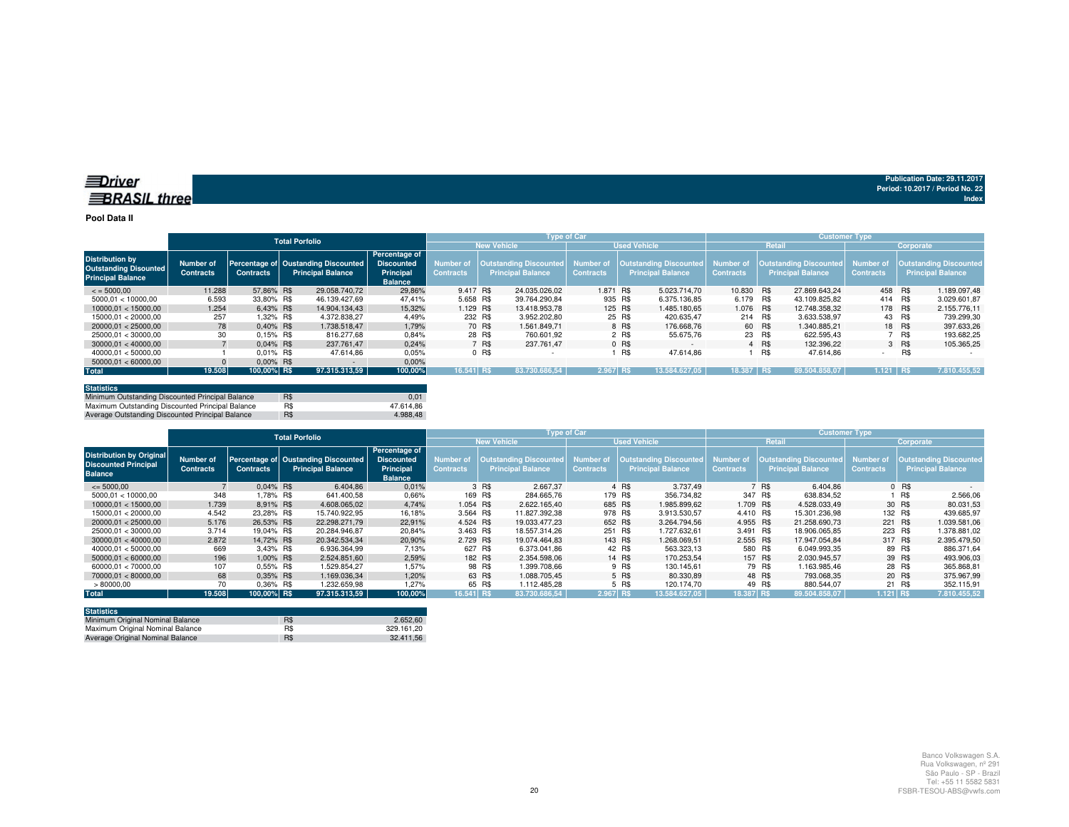#### **Pool Data II**

|                                                                                    | <b>Total Porfolio</b>         |                  |                                                                 |                                                                          |                                      |                                                           | <b>Type of Car</b> |                               |                     |                                         | <b>Customer Type</b> |        |                                                    |                               |        |                                                           |  |
|------------------------------------------------------------------------------------|-------------------------------|------------------|-----------------------------------------------------------------|--------------------------------------------------------------------------|--------------------------------------|-----------------------------------------------------------|--------------------|-------------------------------|---------------------|-----------------------------------------|----------------------|--------|----------------------------------------------------|-------------------------------|--------|-----------------------------------------------------------|--|
|                                                                                    |                               |                  |                                                                 |                                                                          |                                      | <b>New Vehicle</b>                                        |                    |                               | <b>Used Vehicle</b> |                                         |                      | Retail |                                                    | Corporate                     |        |                                                           |  |
| <b>Distribution by</b><br><b>Outstanding Disounted</b><br><b>Principal Balance</b> | Number of<br><b>Contracts</b> | <b>Contracts</b> | Percentage of Oustanding Discounted<br><b>Principal Balance</b> | Percentage of<br><b>Discounted</b><br><b>Principal</b><br><b>Balance</b> | <b>Number of</b><br><b>Contracts</b> | <b>Dutstanding Discounted</b><br><b>Principal Balance</b> |                    | Number of<br><b>Contracts</b> | Principal Balance   | <b>Outstanding Discounted</b> Number of | <b>Contracts</b>     |        | <b>Outstanding Discounted</b><br>Principal Balance | Number of<br><b>Contracts</b> |        | <b>Outstanding Discounted</b><br><b>Principal Balance</b> |  |
| $\leq$ = 5000.00                                                                   | 11.288                        | 57.86% R\$       | 29.058.740.72                                                   | 29.86%                                                                   | 9.417 R\$                            |                                                           | 24.035.026.02      | 1.871 R\$                     |                     | 5.023.714.70                            | 10.830 R\$           |        | 27.869.643.24                                      | 458 R\$                       |        | 1.189.097.48                                              |  |
| 5000.01 < 10000.00                                                                 | 6.593                         | 33.80% R\$       | 46.139.427.69                                                   | 47.41%                                                                   | 5.658 R\$                            |                                                           | 39.764.290.84      | 935 R\$                       |                     | 6.375.136.85                            | 6.179 R\$            |        | 43.109.825.82                                      | 414                           | R\$    | 3.029.601.87                                              |  |
| 10000.01 < 15000.00                                                                | 1.254                         | 6.43% R\$        | 14.904.134.43                                                   | 15,32%                                                                   | 1.129 R\$                            |                                                           | 13.418.953.78      | 125 R\$                       |                     | 1.485.180.65                            | 1.076 R\$            |        | 12.748.358.32                                      | 178 R\$                       |        | 2.155.776,11                                              |  |
| 15000.01 < 20000.00                                                                | 257                           | 1.32% R\$        | 4.372.838.27                                                    | 4.49%                                                                    | 232 R\$                              |                                                           | 3.952.202.80       |                               | 25 R\$              | 420.635.47                              | 214 R\$              |        | 3.633.538.97                                       | 43 R\$                        |        | 739.299,30                                                |  |
| 20000.01 < 25000.00                                                                | 78                            | $0.40\%$ R\$     | 1.738.518.47                                                    | 1.79%                                                                    |                                      | 70 R\$                                                    | 1.561.849.71       |                               | 8 R\$               | 176.668.76                              |                      | 60 R\$ | 1.340.885.21                                       |                               | 18 R\$ | 397.633.26                                                |  |
| 25000.01 < 30000.00                                                                | 30                            | $0.15\%$ R\$     | 816,277.68                                                      | 0.84%                                                                    |                                      | 28 R\$                                                    | 760.601.92         |                               | 2 R\$               | 55.675.76                               | 23 R\$               |        | 622.595.43                                         |                               | 7 RS   | 193.682.25                                                |  |
| 30000.01 < 40000.00                                                                |                               | $0.04\%$ R\$     | 237.761.47                                                      | 0.24%                                                                    |                                      | 7 R\$                                                     | 237.761.47         |                               | 0 R\$               |                                         |                      | 4 R\$  | 132.396.22                                         |                               | 3 R\$  | 105.365,25                                                |  |
| 40000.01 < 50000.00                                                                |                               | 0.01% R\$        | 47.614.86                                                       | 0.05%                                                                    |                                      | $0$ R\$                                                   |                    |                               | R\$                 | 47.614.86                               |                      | R\$    | 47.614.86                                          |                               | R\$    |                                                           |  |
| 50000.01 < 60000.00                                                                |                               | $0.00\%$ R\$     | $\sim$                                                          | 0,00%                                                                    |                                      |                                                           |                    |                               |                     |                                         |                      |        |                                                    |                               |        |                                                           |  |
| <b>Total</b>                                                                       | 19.508                        | 100,00% R\$      | 97.315.313.59                                                   | 100,00%                                                                  | 16.541 R\$                           |                                                           | 83.730.686.54      | 2.967 RS                      |                     | 13.584.627.05                           | 18.387 R\$           |        | 89.504.858.07                                      | $1.121$ RS                    |        | 7.810.455.52                                              |  |

| <b>Statistics</b>                                |     |           |
|--------------------------------------------------|-----|-----------|
| Minimum Outstanding Discounted Principal Balance | R\$ | 0.01      |
| Maximum Outstanding Discounted Principal Balance | R\$ | 47.614.86 |
| Average Outstanding Discounted Principal Balance | R\$ | 4.988.48  |

|                                                                                  | <b>Total Porfolio</b>         |                  |                                                                 |                                                                   |                                      | <b>Type of Car</b>                                 |                               | <b>Customer Type</b>                                           |                  |                                                           |                               |                                                           |  |
|----------------------------------------------------------------------------------|-------------------------------|------------------|-----------------------------------------------------------------|-------------------------------------------------------------------|--------------------------------------|----------------------------------------------------|-------------------------------|----------------------------------------------------------------|------------------|-----------------------------------------------------------|-------------------------------|-----------------------------------------------------------|--|
|                                                                                  |                               |                  |                                                                 |                                                                   |                                      | <b>New Vehicle</b>                                 |                               | <b>Used Vehicle</b>                                            |                  | Retail                                                    | Corporate                     |                                                           |  |
| <b>Distribution by Original</b><br><b>Discounted Principal</b><br><b>Balance</b> | Number of<br><b>Contracts</b> | <b>Contracts</b> | Percentage of Oustanding Discounted<br><b>Principal Balance</b> | Percentage of<br><b>Discounted</b><br>Principal<br><b>Balance</b> | <b>Number of</b><br><b>Contracts</b> | Outstanding Discounted<br><b>Principal Balance</b> | Number of<br><b>Contracts</b> | Outstanding Discounted   Number of<br><b>Principal Balance</b> | <b>Contracts</b> | <b>Outstanding Discounted</b><br><b>Principal Balance</b> | Number of<br><b>Contracts</b> | <b>Outstanding Discounted</b><br><b>Principal Balance</b> |  |
| $\leq$ 5000.00                                                                   |                               | $0.04\%$ R\$     | 6.404.86                                                        | 0.01%                                                             |                                      | 3 R\$<br>2.667.37                                  |                               | 3.737.49<br>4 R\$                                              |                  | R\$<br>6.404.86                                           |                               | $0$ R\$                                                   |  |
| 5000.01 < 10000.00                                                               | 348                           | .78% R\$         | 641.400,58                                                      | 0,66%                                                             | 169 R\$                              | 284.665.76                                         | 179 R\$                       | 356.734,82                                                     | 347 R\$          | 638.834.52                                                |                               | R\$<br>2.566,06                                           |  |
| 10000.01 < 15000.00                                                              | 1.739                         | 8.91% R\$        | 4.608.065.02                                                    | 4.74%                                                             | 1.054 R\$                            | 2.622.165.40                                       | 685 R\$                       | 1.985.899.62                                                   | 1.709 R\$        | 4.528.033.49                                              |                               | 30 R\$<br>80.031.53                                       |  |
| 15000.01 < 20000.00                                                              | 4.542                         | 23.28% R\$       | 15.740.922.95                                                   | 16,18%                                                            | 3.564 R\$                            | 11.827.392.38                                      | 978 R\$                       | 3.913.530.57                                                   | 4.410 R\$        | 15.301.236.98                                             | 132 R\$                       | 439.685.97                                                |  |
| 20000.01 < 25000.00                                                              | 5.176                         | 26.53% R\$       | 22.298.271.79                                                   | 22.91%                                                            | 4.524 R\$                            | 19.033.477.23                                      | 652 R\$                       | 3.264.794.56                                                   | 4.955 R\$        | 21.258.690.73                                             | 221 R\$                       | 1.039.581.06                                              |  |
| 25000.01 < 30000.00                                                              | 3.714                         | 19.04% R\$       | 20.284.946.87                                                   | 20.84%                                                            | 3.463 R\$                            | 18.557.314.26                                      | 251 R\$                       | 1.727.632.61                                                   | 3.491 R\$        | 18.906.065.85                                             | 223 R\$                       | 1.378.881.02                                              |  |
| 30000.01 < 40000.00                                                              | 2.872                         | 14.72% R\$       | 20.342.534.34                                                   | 20,90%                                                            | 2.729 R\$                            | 19.074.464.83                                      | 143 R\$                       | 1.268.069.51                                                   | 2.555 R\$        | 17.947.054.84                                             | 317 R\$                       | 2.395.479,50                                              |  |
| 40000.01 < 50000.00                                                              | 669                           | 3.43% R\$        | 6.936.364.99                                                    | 7,13%                                                             | 627 R\$                              | 6.373.041.86                                       |                               | 42 R\$<br>563.323.13                                           |                  | 580 R\$<br>6.049.993.35                                   |                               | 89 R\$<br>886.371,64                                      |  |
| 50000.01 < 60000.00                                                              | 196                           | 1.00% R\$        | 2.524.851.60                                                    | 2,59%                                                             | 182 R\$                              | 2.354.598.06                                       |                               | 14 R\$<br>170.253.54                                           |                  | 157 R\$<br>2.030.945.57                                   |                               | 39 R\$<br>493.906,03                                      |  |
| 60000.01 < 70000.00                                                              | 107                           | 0.55% R\$        | 1.529.854.27                                                    | 1.57%                                                             |                                      | 98 R\$<br>1.399.708.66                             |                               | 9 R\$<br>130.145.61                                            |                  | 79 R\$<br>1.163.985.46                                    |                               | 28 R\$<br>365.868.81                                      |  |
| 70000.01 < 80000.00                                                              | 68                            | 0.35% R\$        | 1.169.036.34                                                    | 1.20%                                                             |                                      | 63 R\$<br>1.088.705.45                             |                               | 5 R\$<br>80.330.89                                             |                  | 48 R\$<br>793.068.35                                      |                               | 375.967.99<br>20 R\$                                      |  |
| >80000,00                                                                        | 70                            | 0.36% R\$        | 1.232.659.98                                                    | 1.27%                                                             |                                      | 65 R\$<br>1.112.485.28                             |                               | 5 R\$<br>120.174.70                                            |                  | 49 R\$<br>880.544.07                                      |                               | 21 R\$<br>352.115.91                                      |  |
| <b>Total</b>                                                                     | 19.508                        | 100.00% R\$      | 97.315.313.59                                                   | 100,00%                                                           | 16.541 R\$                           | 83.730.686.54                                      | 2.967 R\$                     | 13.584.627.05                                                  | 18.387 R\$       | 89.504.858.07                                             | $1.121$ RS                    | 7.810.455,52                                              |  |

| <b>Statistics</b>                |     |            |
|----------------------------------|-----|------------|
| Minimum Original Nominal Balance | R\$ | 2.652.60   |
| Maximum Original Nominal Balance | R\$ | 329.161.20 |
| Average Original Nominal Balance | R\$ | 32.411.56  |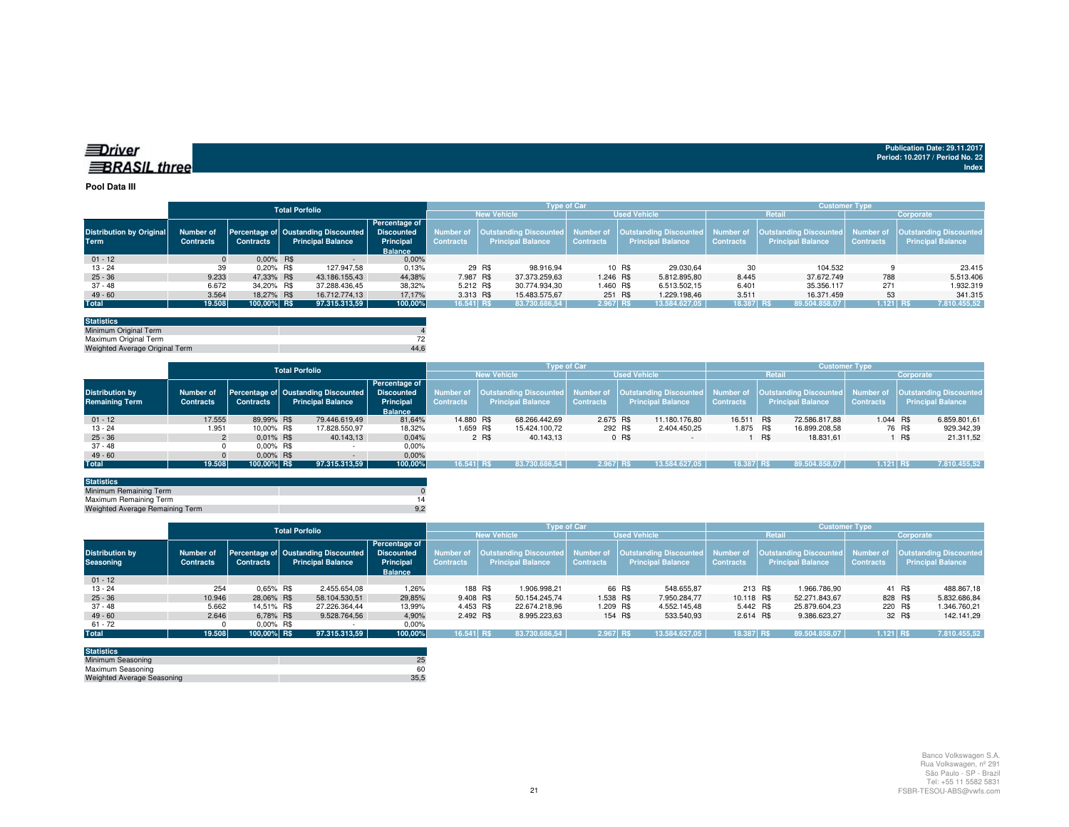| ≡Driver             |  |
|---------------------|--|
| <b>BRASIL three</b> |  |

#### **Pool Data III**

|                                 |                  |                  | <b>Total Porfolio</b>    |                                                |                  |                                    | <b>Type of Car</b> |                                                                                                    | <b>Customer Type</b> |                          |                  |                          |  |  |
|---------------------------------|------------------|------------------|--------------------------|------------------------------------------------|------------------|------------------------------------|--------------------|----------------------------------------------------------------------------------------------------|----------------------|--------------------------|------------------|--------------------------|--|--|
|                                 |                  |                  |                          |                                                |                  | <b>New Vehicle</b>                 |                    | <b>Used Vehicle</b>                                                                                |                      | <b>Retail</b>            | Corporate        |                          |  |  |
|                                 |                  |                  |                          | <b>Percentage of</b>                           |                  |                                    |                    |                                                                                                    |                      |                          |                  |                          |  |  |
| <b>Distribution by Original</b> | Number of        |                  |                          | Percentage of Oustanding Discounted Discounted |                  | Number of   Outstanding Discounted |                    | Number of Cutstanding Discounted Number of Cutstanding Discounted Number of Cutstanding Discounted |                      |                          |                  |                          |  |  |
| <b>Term</b>                     | <b>Contracts</b> | <b>Contracts</b> | <b>Principal Balance</b> | Principal                                      | <b>Contracts</b> | <b>Principal Balance</b>           | <b>Contracts</b>   | <b>Principal Balance</b>                                                                           | <b>Contracts</b>     | <b>Principal Balance</b> | <b>Contracts</b> | <b>Principal Balance</b> |  |  |
|                                 |                  |                  |                          | <b>Balance</b>                                 |                  |                                    |                    |                                                                                                    |                      |                          |                  |                          |  |  |
| $01 - 12$                       |                  | $0.00\%$ R\$     |                          | 0,00%                                          |                  |                                    |                    |                                                                                                    |                      |                          |                  |                          |  |  |
| 13 - 24                         | 39               | $0.20\%$ R\$     |                          | 0,13%<br>127.947,58                            |                  | 29 R\$<br>98.916.94                |                    | 10 R\$<br>29.030.64                                                                                | 30                   | 104.532                  |                  | 23.415                   |  |  |
| $25 - 36$                       | 9.233            | 47.33% R\$       | 43.186.155.43            | 44.38%                                         | 7.987 R\$        | 37.373.259,63                      | 1.246 R\$          | 5.812.895.80                                                                                       | 8.445                | 37.672.749               | 788              | 5.513.406                |  |  |
| 37 - 48                         | 6.672            | 34,20% R\$       | 37.288.436,45            | 38,32%                                         | 5.212 R\$        | 30.774.934.30                      | 1.460 R\$          | 6.513.502,15                                                                                       | 6.401                | 35.356.117               | 271              | 1.932.319                |  |  |
| $49 - 60$                       | 3.564            | 18.27% R\$       | 16.712.774.13            | 17.17%                                         | 3.313 R\$        | 15.483.575.67                      |                    | 251 R\$<br>1.229.198.46                                                                            | 3.511                | 16.371.459               | 53               | 341.315                  |  |  |
| <b>Total</b>                    | 19.508           | 100,00% R\$      | 97.315.313.59            | 100,00%                                        | 16.541 R\$       | 83.730.686,54                      | 2.967 R\$          | 13.584.627,05                                                                                      | 18.387 R\$           | 89.504.858,07            | $1.121$ RS       | 7.810.455,52             |  |  |
|                                 |                  |                  |                          |                                                |                  |                                    |                    |                                                                                                    |                      |                          |                  |                          |  |  |

| 44.6 |
|------|
|      |

|                        |                  |                  | <b>Total Porfolio</b>               |                   |                  |                          | <b>Type of Car</b> |                         | <b>Customer Type</b> |                          |                  |                                                                                                                                            |  |  |
|------------------------|------------------|------------------|-------------------------------------|-------------------|------------------|--------------------------|--------------------|-------------------------|----------------------|--------------------------|------------------|--------------------------------------------------------------------------------------------------------------------------------------------|--|--|
|                        |                  |                  |                                     |                   |                  | <b>New Vehicle</b>       |                    | <b>Used Vehicle</b>     |                      | <b>Retail</b>            |                  | Corporate                                                                                                                                  |  |  |
|                        |                  |                  |                                     | Percentage of     |                  |                          |                    |                         |                      |                          |                  |                                                                                                                                            |  |  |
| <b>Distribution by</b> | Number of        |                  | Percentage of Oustanding Discounted | <b>Discounted</b> |                  |                          |                    |                         |                      |                          |                  | Number of  Outstanding Discounted  Number of  Outstanding Discounted  Number of  Outstanding Discounted  Number of  Outstanding Discounted |  |  |
| <b>Remaining Term</b>  | <b>Contracts</b> | <b>Contracts</b> | <b>Principal Balance</b>            | Principal         | <b>Contracts</b> | <b>Principal Balance</b> | <b>Contracts</b>   | Principal Balance       | <b>Contracts</b>     | <b>Principal Balance</b> | <b>Contracts</b> | <b>Principal Balance</b>                                                                                                                   |  |  |
|                        |                  |                  |                                     | <b>Balance</b>    |                  |                          |                    |                         |                      |                          |                  |                                                                                                                                            |  |  |
| $01 - 12$              | 17.555           | 89.99% R\$       | 79.446.619.49                       | 81,64%            | 14,880 R\$       | 68.266.442.69            | 2.675 R\$          | 11.180.176.80           | 16.511 R\$           | 72.586.817.88            |                  | 6.859.801,61<br>1.044 R\$                                                                                                                  |  |  |
| $13 - 24$              | 1.951            | 10.00% R\$       | 17.828.550,97                       | 18,32%            | 1.659 R\$        | 15.424.100.72            |                    | 292 R\$<br>2.404.450.25 | 1.875 R\$            | 16.899.208,58            |                  | 76 R\$<br>929.342,39                                                                                                                       |  |  |
| $25 - 36$              |                  | $0.01\%$ R\$     | 40.143.13                           | 0,04%             |                  | 2 R\$<br>40.143.13       |                    | 0 R\$<br>$\sim$         |                      | R\$<br>18.831.61         |                  | 21.311.52<br>I R\$                                                                                                                         |  |  |
| $37 - 48$              |                  | $0.00\%$ R\$     |                                     | $0.00\%$          |                  |                          |                    |                         |                      |                          |                  |                                                                                                                                            |  |  |
| $49 - 60$              |                  | $0.00\%$ R\$     | $\sim$                              | 0,00%             |                  |                          |                    |                         |                      |                          |                  |                                                                                                                                            |  |  |
| Total                  | 19.508           | 100.00% R\$      | 97.315.313.59                       | 100,00%           | 16.541 R\$       | 83.730.686.54            | $2.967$ R\$        | 13.584.627.05           | 18.387 R\$           | 89.504.858.07            |                  | 1.121 RS<br>7.810.455,52                                                                                                                   |  |  |
|                        |                  |                  |                                     |                   |                  |                          |                    |                         |                      |                          |                  |                                                                                                                                            |  |  |

| <b>Statistics</b>               |  |
|---------------------------------|--|
| Minimum Remaining Term          |  |
| Maximum Remaining Term          |  |
| Weighted Average Remaining Term |  |
|                                 |  |

|                                            |                                      | <b>Total Porfolio</b> |                                                                            |                                                     |                               |                                                           | <b>Type of Car</b> |                          | <b>Customer Type</b> |                          |                  |                                                                                                                                   |  |  |
|--------------------------------------------|--------------------------------------|-----------------------|----------------------------------------------------------------------------|-----------------------------------------------------|-------------------------------|-----------------------------------------------------------|--------------------|--------------------------|----------------------|--------------------------|------------------|-----------------------------------------------------------------------------------------------------------------------------------|--|--|
|                                            |                                      |                       |                                                                            |                                                     |                               | <b>New Vehicle</b>                                        |                    | <b>Used Vehicle</b>      |                      | <b>Retail</b>            | Corporate        |                                                                                                                                   |  |  |
| <b>Distribution by</b><br><b>Seasoning</b> | <b>Number of</b><br><b>Contracts</b> | <b>Contracts</b>      | Percentage of Oustanding Discounted Discounted<br><b>Principal Balance</b> | <b>Percentage of</b><br>Principal<br><b>Balance</b> | Number of<br><b>Contracts</b> | <b>Outstanding Discounted</b><br><b>Principal Balance</b> | <b>Contracts</b>   | <b>Principal Balance</b> | <b>Contracts</b>     | <b>Principal Balance</b> | <b>Contracts</b> | Number of Poutstanding Discounted Rumber of Poutstanding Discounted Number of Poutstanding Discounted<br><b>Principal Balance</b> |  |  |
| $01 - 12$                                  |                                      |                       |                                                                            |                                                     |                               |                                                           |                    |                          |                      |                          |                  |                                                                                                                                   |  |  |
| $13 - 24$                                  | 254                                  | $0.65\%$ R\$          | 2.455.654.08                                                               | 1.26%                                               |                               | 188 R\$<br>1.906.998.21                                   |                    | 66 R\$<br>548.655.87     | 213 R\$              | 1.966.786.90             |                  | 41 R\$<br>488.867,18                                                                                                              |  |  |
| $25 - 36$                                  | 10.946                               | 28.06% R\$            | 58.104.530,51                                                              | 29.85%                                              | 9.408 R\$                     | 50.154.245.74                                             | 1.538 R\$          | 7.950.284.77             | 10.118 R\$           | 52.271.843.67            | 828 R\$          | 5.832.686.84                                                                                                                      |  |  |
| 37 - 48                                    | 5.662                                | 14.51% R\$            | 27.226.364.44                                                              | 13,99%                                              | 4.453 R\$                     | 22.674.218.96                                             | 1.209 R\$          | 4.552.145.48             | 5.442 R\$            | 25.879.604.23            | 220 R\$          | 1.346.760,21                                                                                                                      |  |  |
| $49 - 60$                                  | 2.646                                | 6,78% R\$             | 9.528.764.56                                                               | 4,90%                                               | 2.492 R\$                     | 8.995.223,63                                              |                    | 154 R\$<br>533.540,93    | 2.614 R\$            | 9.386.623.27             |                  | 32 R\$<br>142.141.29                                                                                                              |  |  |
| $61 - 72$                                  |                                      | $0.00\%$ R\$          |                                                                            | 0.00%                                               |                               |                                                           |                    |                          |                      |                          |                  |                                                                                                                                   |  |  |
| <b>Total</b>                               | 19.508                               | 100,00% R\$           | 97.315.313,59                                                              | 100,00%                                             | 16.541 R\$                    | 83.730.686.54                                             | 2.967 RS           | 13.584.627.05            | 18.387 R\$           | 89.504.858.07            | $1.121$ RS       | 7.810.455,52                                                                                                                      |  |  |

| <b>Statistics</b>                 |      |
|-----------------------------------|------|
| Minimum Seasoning                 |      |
| Maximum Seasoning                 | 60   |
| <b>Weighted Average Seasoning</b> | 35.5 |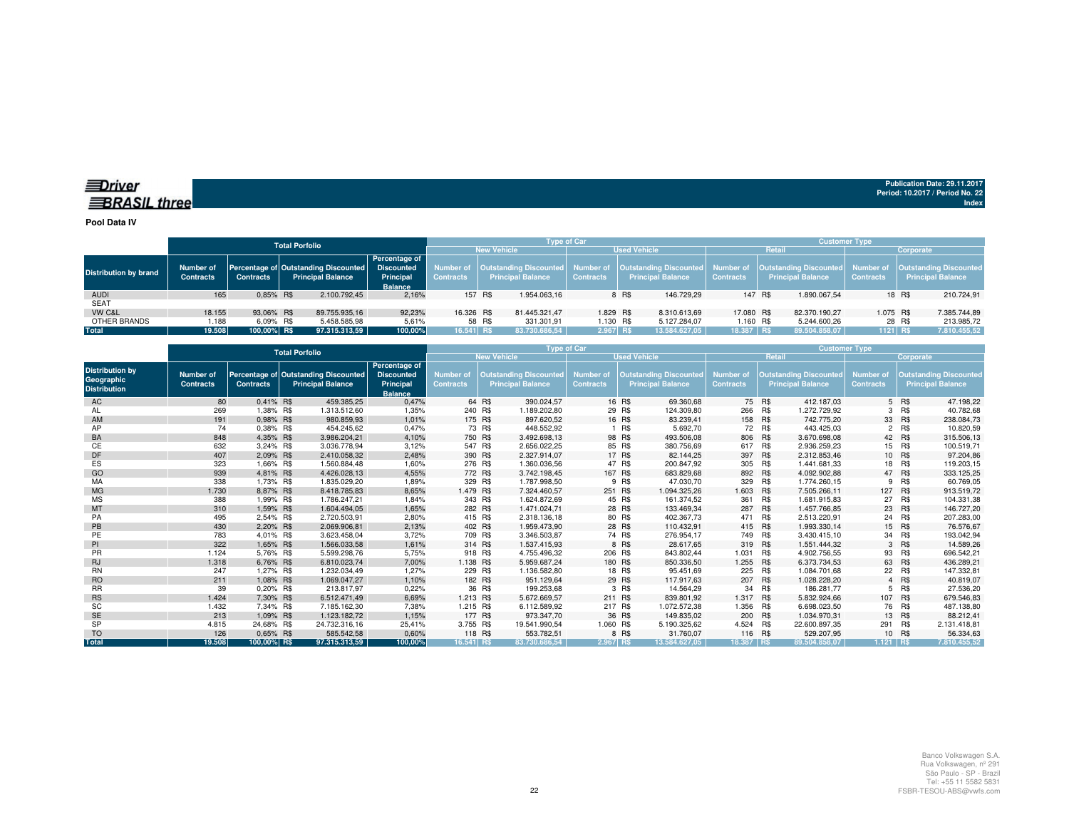#### *<u>IDriver</u>* **BRASIL** three

**Publication Date: 29.11.2017Period: 10.2017 / Period No. 22 Index**

**Pool Data IV**

|                              |                                      |                  | <b>Total Porfolio</b>                                                       |                                                     |                  |                    |                          | <b>Type of Car</b>  |       |                          | <b>Customer Type</b> |         |                          |                  |                                                                                                                                                                        |  |
|------------------------------|--------------------------------------|------------------|-----------------------------------------------------------------------------|-----------------------------------------------------|------------------|--------------------|--------------------------|---------------------|-------|--------------------------|----------------------|---------|--------------------------|------------------|------------------------------------------------------------------------------------------------------------------------------------------------------------------------|--|
|                              |                                      |                  |                                                                             |                                                     |                  | <b>New Vehicle</b> |                          | <b>Used Vehicle</b> |       |                          |                      | Retail  |                          | Corporate        |                                                                                                                                                                        |  |
| <b>Distribution by brand</b> | <b>Number of</b><br><b>Contracts</b> | <b>Contracts</b> | Percentage of Outstanding Discounted Discounted<br><b>Principal Balance</b> | <b>Percentage of</b><br>Principal<br><b>Balance</b> | <b>Contracts</b> |                    | <b>Principal Balance</b> | <b>Contracts</b>    |       | <b>Principal Balance</b> | <b>Contracts</b>     |         | <b>Principal Balance</b> | <b>Contracts</b> | Number of  Outstanding Discounted  Number of  Outstanding Discounted  Number of  Outstanding Discounted  Number of  Outstanding Discounted<br><b>Principal Balance</b> |  |
| <b>AUDI</b>                  | 165                                  | 0.85% R\$        | 2.100.792.45                                                                | 2,16%                                               |                  | 157 R\$            | 1.954.063.16             |                     | 8 R\$ | 146.729.29               |                      | 147 R\$ | 1.890.067.54             |                  | 18 R\$<br>210.724,91                                                                                                                                                   |  |
| <b>SEAT</b>                  |                                      |                  |                                                                             |                                                     |                  |                    |                          |                     |       |                          |                      |         |                          |                  |                                                                                                                                                                        |  |
| VW C&L                       | 18.155                               | 93.06% R\$       | 89.755.935.16                                                               | 92.23%                                              | 16.326 R\$       |                    | 81.445.321.47            | 1.829 R\$           |       | 8.310.613.69             | 17.080 R\$           |         | 82.370.190.27            | 1.075 R\$        | 7.385.744,89                                                                                                                                                           |  |
| OTHER BRANDS                 | 1.188                                | 6.09% R\$        | 5.458.585.98                                                                | 5.61%                                               |                  | 58 R\$             | 331.301.91               | 1.130 R\$           |       | 5.127.284.07             | 1.160 R\$            |         | 5.244.600.26             |                  | 213.985,72<br>28 R\$                                                                                                                                                   |  |
| Total                        | 19.508                               | 100.00% R\$      | 97.315.313,59                                                               | 100.00%                                             | $16.541$ R\$     |                    | 83.730.686.54            | 2.967 R\$           |       | 13.584.627.05            | 18.387 RS            |         | 89.504.858.07            | 1121 RS          | 7.810.455,52                                                                                                                                                           |  |

|                                                             | <b>Total Porfolio</b>         |                  |                                                                  |                                                                   |                                      | <b>Customer Type</b>                                      |                                      |         |                                                           |                               |            |                                                           |                                      |            |                                                           |
|-------------------------------------------------------------|-------------------------------|------------------|------------------------------------------------------------------|-------------------------------------------------------------------|--------------------------------------|-----------------------------------------------------------|--------------------------------------|---------|-----------------------------------------------------------|-------------------------------|------------|-----------------------------------------------------------|--------------------------------------|------------|-----------------------------------------------------------|
|                                                             |                               |                  |                                                                  |                                                                   |                                      | <b>New Vehicle</b>                                        |                                      |         | <b>Used Vehicle</b>                                       |                               | Retail     |                                                           | Corporate                            |            |                                                           |
| <b>Distribution by</b><br>Geographic<br><b>Distribution</b> | Number of<br><b>Contracts</b> | <b>Contracts</b> | Percentage of Outstanding Discounted<br><b>Principal Balance</b> | Percentage of<br><b>Discounted</b><br>Principal<br><b>Balance</b> | <b>Number of</b><br><b>Contracts</b> | <b>Outstanding Discounted</b><br><b>Principal Balance</b> | <b>Number of</b><br><b>Contracts</b> |         | <b>Outstanding Discounted</b><br><b>Principal Balance</b> | Number of<br><b>Contracts</b> |            | <b>Outstanding Discounted</b><br><b>Principal Balance</b> | <b>Number of</b><br><b>Contracts</b> |            | <b>Outstanding Discounted</b><br><b>Principal Balance</b> |
| AC                                                          | 80                            | 0.41% R\$        | 459.385,25                                                       | 0,47%                                                             |                                      | 390.024,57<br>64 R\$                                      |                                      | 16 R\$  | 69.360,68                                                 |                               | 75 R\$     | 412.187.03                                                |                                      | 5 R\$      | 47.198.22                                                 |
| AL                                                          | 269                           | 1,38% R\$        | 1.313.512,60                                                     | 1,35%                                                             | 240 R\$                              | 1.189.202,80                                              |                                      | 29 R\$  | 124.309,80                                                | 266 R\$                       |            | 1.272.729,92                                              | 3                                    | R\$        | 40.782,68                                                 |
| AM                                                          | 191                           | 0.98% R\$        | 980.859,93                                                       | 1,01%                                                             | 175 R\$                              | 897.620,52                                                |                                      | 16 R\$  | 83.239,41                                                 | 158 R\$                       |            | 742.775.20                                                |                                      | 33 R\$     | 238.084,73                                                |
| AP                                                          | 74                            | 0.38% R\$        | 454.245.62                                                       | 0.47%                                                             |                                      | 73 R\$<br>448.552.92                                      |                                      | R\$     | 5.692,70                                                  |                               | 72 R\$     | 443.425.03                                                | $\overline{2}$                       | R\$        | 10.820,59                                                 |
| BA                                                          | 848                           | 4,35% R\$        | 3.986.204,21                                                     | 4,10%                                                             | 750 R\$                              | 3.492.698,13                                              |                                      | 98 R\$  | 493.506,08                                                | 806 R\$                       |            | 3.670.698,08                                              |                                      | 42 R\$     | 315.506,13                                                |
| СE                                                          | 632                           | 3,24% R\$        | 3.036.778.94                                                     | 3,12%                                                             | 547 R\$                              | 2.656.022,25                                              |                                      | 85 R\$  | 380.756,69                                                | 617                           | <b>R\$</b> | 2.936.259,23                                              |                                      | 15 R\$     | 100.519,71                                                |
| DF                                                          | 407                           | 2.09% R\$        | 2.410.058.32                                                     | 2,48%                                                             | 390 R\$                              | 2.327.914.07                                              |                                      | 17 R\$  | 82.144,25                                                 | 397 R\$                       |            | 2.312.853,46                                              |                                      | 10 R\$     | 97.204,86                                                 |
| ES                                                          | 323                           | 1.66% R\$        | 1.560.884.48                                                     | 1.60%                                                             | 276 R\$                              | 1.360.036,56                                              |                                      | 47 R\$  | 200.847.92                                                | 305 R\$                       |            | 1.441.681,33                                              |                                      | 18 R\$     | 119.203,15                                                |
| GO                                                          | 939                           | 4.81% R\$        | 4.426.028.13                                                     | 4,55%                                                             | 772 R\$                              | 3.742.198.45                                              |                                      | 167 R\$ | 683.829,68                                                | 892 R\$                       |            | 4.092.902.88                                              |                                      | 47 R\$     | 333.125,25                                                |
| MA                                                          | 338                           | 1,73% R\$        | 1.835.029.20                                                     | 1,89%                                                             | 329 R\$                              | 1.787.998,50                                              |                                      | 9 R\$   | 47.030,70                                                 | 329                           | R\$        | 1.774.260,15                                              | 9                                    | R\$        | 60.769,05                                                 |
| <b>MG</b>                                                   | 1.730                         | 8.87% R\$        | 8.418.785.83                                                     | 8,65%                                                             | 1.479 R\$                            | 7.324.460.57                                              |                                      | 251 R\$ | 1.094.325.26                                              | 1.603 R\$                     |            | 7.505.266.11                                              | 127                                  | R\$        | 913.519,72                                                |
| <b>MS</b>                                                   | 388                           | 1,99% R\$        | 1.786.247,21                                                     | 1,84%                                                             | 343 R\$                              | 1.624.872,69                                              |                                      | 45 R\$  | 161.374,52                                                | 361                           | R\$        | 1.681.915.83                                              | 27                                   | R\$        | 104.331,38                                                |
| MT                                                          | 310                           | 1,59% R\$        | 1.604.494,05                                                     | 1,65%                                                             | 282 R\$                              | 1.471.024,71                                              |                                      | 28 R\$  | 133.469,34                                                | 287                           | R\$        | 1.457.766,85                                              | 23                                   | R\$        | 146.727,20                                                |
| PA                                                          | 495                           | 2.54% R\$        | 2.720.503.91                                                     | 2,80%                                                             | 415 R\$                              | 2.318.136,18                                              |                                      | 80 R\$  | 402.367,73                                                | 471                           | R\$        | 2.513.220,91                                              | 24                                   | R\$        | 207.283,00                                                |
| PB                                                          | 430                           | 2,20% R\$        | 2.069.906,81                                                     | 2,13%                                                             | 402 R\$                              | 1.959.473,90                                              |                                      | 28 R\$  | 110.432,91                                                | 415 R\$                       |            | 1.993.330,14                                              |                                      | 15 R\$     | 76.576,67                                                 |
| PE                                                          | 783                           | 4,01% R\$        | 3.623.458.04                                                     | 3,72%                                                             | 709 R\$                              | 3.346.503,87                                              |                                      | 74 R\$  | 276.954,17                                                | 749 R\$                       |            | 3.430.415,10                                              | 34                                   | R\$        | 193.042,94                                                |
| PI                                                          | 322                           | 1.65% R\$        | 1.566.033.58                                                     | 1,61%                                                             | 314 R\$                              | 1.537.415.93                                              |                                      | 8 R\$   | 28.617.65                                                 | 319 R\$                       |            | 1.551.444.32                                              |                                      | 3 R\$      | 14.589.26                                                 |
| PR                                                          | 1.124                         | 5.76% R\$        | 5.599.298.76                                                     | 5,75%                                                             | 918 R\$                              | 4.755.496.32                                              |                                      | 206 R\$ | 843.802.44                                                | 1.031                         | R\$        | 4.902.756,55                                              | 93                                   | R\$        | 696.542,21                                                |
| <b>RJ</b>                                                   | 1.318                         | 6,76% R\$        | 6.810.023,74                                                     | 7,00%                                                             | 1.138 R\$                            | 5.959.687,24                                              |                                      | 180 R\$ | 850.336,50                                                | 1.255 R\$                     |            | 6.373.734,53                                              |                                      | 63 R\$     | 436.289,21                                                |
| <b>RN</b>                                                   | 247                           | 1,27% R\$        | 1.232.034,49                                                     | 1,27%                                                             | 229 R\$                              | 1.136.582,80                                              |                                      | 18 R\$  | 95.451,69                                                 | 225                           | <b>R\$</b> | 1.084.701.68                                              | 22                                   | R\$        | 147.332,81                                                |
| <b>RO</b>                                                   | 211                           | 1,08% R\$        | 1.069.047.27                                                     | 1,10%                                                             | 182 R\$                              | 951.129.64                                                |                                      | 29 R\$  | 117.917.63                                                | 207 R\$                       |            | 1.028.228.20                                              |                                      | 4 R\$      | 40.819,07                                                 |
| <b>RR</b>                                                   | 39                            | 0,20% R\$        | 213.817,97                                                       | 0,22%                                                             |                                      | 36 R\$<br>199.253,68                                      |                                      | 3 R\$   | 14.564,29                                                 | 34                            | R\$        | 186.281,77                                                | 5                                    | R\$        | 27.536,20                                                 |
| <b>RS</b>                                                   | 1.424                         | 7,30% R\$        | 6.512.471.49                                                     | 6,69%                                                             | 1.213 R\$                            | 5.672.669,57                                              |                                      | 211 R\$ | 839.801,92                                                | 1.317 R\$                     |            | 5.832.924,66                                              | 107                                  | R\$        | 679.546,83                                                |
| SC                                                          | 1.432                         | 7,34% R\$        | 7.185.162,30                                                     | 7,38%                                                             | 1.215 R\$                            | 6.112.589,92                                              |                                      | 217 R\$ | 1.072.572,38                                              | 1.356 R\$                     |            | 6.698.023,50                                              |                                      | 76 R\$     | 487.138,80                                                |
| <b>SE</b>                                                   | 213                           | 1.09% R\$        | 1.123.182.72                                                     | 1,15%                                                             | 177 R\$                              | 973.347.70                                                |                                      | 36 R\$  | 149.835.02                                                | 200 R\$                       |            | 1.034.970.31                                              |                                      | 13 R\$     | 88.212,41                                                 |
| <b>SP</b>                                                   | 4.815                         | 24.68% R\$       | 24.732.316.16                                                    | 25,41%                                                            | 3.755 R\$                            | 19.541.990.54                                             | 1.060 R\$                            |         | 5.190.325,62                                              | 4.524 R\$                     |            | 22.600.897,35                                             | 291                                  | <b>R\$</b> | 2.131.418,81                                              |
| <b>TO</b>                                                   | 126                           | 0.65% R\$        | 585.542,58                                                       | 0,60%                                                             | 118 R\$                              | 553.782,51                                                |                                      | 8 R\$   | 31.760,07                                                 | 116 R\$                       |            | 529.207.95                                                |                                      | 10 R\$     | 56.334,63                                                 |
| <b>Total</b>                                                | 19.508                        | 100,00% R\$      | 97.315.313.59                                                    | 100.00%                                                           | 16.541 RS                            | 83.730.686.54                                             | 2.967 RS                             |         | 13.584.627.05                                             | 18.387 RS                     |            | 89.504.858.07                                             | $1.121$ RS                           |            | 7.810.455.52                                              |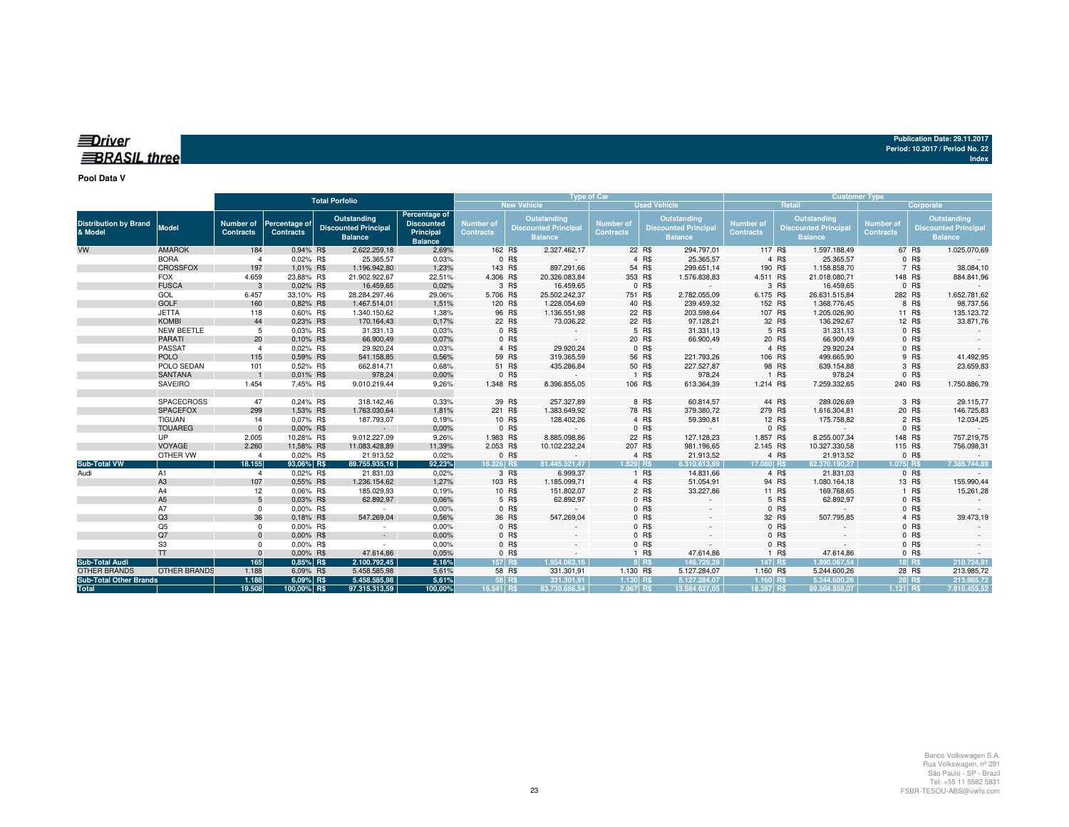| Publication Date: 29.11.2017    |  |
|---------------------------------|--|
| Period: 10.2017 / Period No. 22 |  |
| Indov                           |  |

## *<u>IDriver</u>* **BRASIL** three

#### **Pool Data V**

|                                         |                     |                                      | <b>Total Porfolio</b>                    |                                                              |                                                                   |                                      | <b>Type of Car</b> |                                                                     |                                      |                     |                                                             |                                      | <b>Customer Type</b>                                               |              |                               |           |                                                              |
|-----------------------------------------|---------------------|--------------------------------------|------------------------------------------|--------------------------------------------------------------|-------------------------------------------------------------------|--------------------------------------|--------------------|---------------------------------------------------------------------|--------------------------------------|---------------------|-------------------------------------------------------------|--------------------------------------|--------------------------------------------------------------------|--------------|-------------------------------|-----------|--------------------------------------------------------------|
|                                         |                     |                                      |                                          |                                                              |                                                                   |                                      | <b>New Vehicle</b> |                                                                     |                                      | <b>Used Vehicle</b> |                                                             |                                      | Retail                                                             |              |                               | Corporate |                                                              |
| <b>Distribution by Brand</b><br>& Model | Model               | <b>Number of</b><br><b>Contracts</b> | <b>Percentage of</b><br><b>Contracts</b> | Outstanding<br><b>Discounted Principal</b><br><b>Balance</b> | Percentage of<br><b>Discounted</b><br>Principal<br><b>Balance</b> | <b>Number of</b><br><b>Contracts</b> |                    | <b>Outstanding</b><br><b>Discounted Principal</b><br><b>Balance</b> | <b>Number of</b><br><b>Contracts</b> |                     | Outstanding<br><b>Discounted Principa</b><br><b>Balance</b> | <b>Number of</b><br><b>Contracts</b> | <b>Outstanding</b><br><b>Discounted Principa</b><br><b>Balance</b> |              | Number of<br><b>Contracts</b> |           | Outstanding<br><b>Discounted Principal</b><br><b>Balance</b> |
| VW                                      | <b>AMAROK</b>       | 184                                  | 0.94% R\$                                | 2.622.259,18                                                 | 2,69%                                                             |                                      | 162 R\$            | 2.327.462,17                                                        |                                      | 22 R\$              | 294.797,01                                                  | 117 R\$                              | 1.597.188,49                                                       |              |                               | 67 R\$    | 1.025.070,69                                                 |
|                                         | <b>BORA</b>         | $\mathbf{A}$                         | 0,02% R\$                                | 25.365,57                                                    | 0,03%                                                             |                                      | 0 R\$              |                                                                     |                                      | 4 R\$               | 25.365,57                                                   |                                      | 4 R\$                                                              | 25.365,57    |                               | 0 R\$     |                                                              |
|                                         | <b>CROSSFOX</b>     | 197                                  | 1,01% R\$                                | 1.196.942,80                                                 | 1,23%                                                             |                                      | 143 R\$            | 897.291,66                                                          |                                      | 54 R\$              | 299.651,14                                                  | 190 R\$                              | 1.158.858,70                                                       |              |                               | 7 R\$     | 38.084,10                                                    |
|                                         | <b>FOX</b>          | 4.659                                | 23,88% R\$                               | 21.902.922,67                                                | 22,51%                                                            | 4.306 R\$                            |                    | 20.326.083,84                                                       |                                      | 353 R\$             | 1.576.838,83                                                | 4.511 R\$                            | 21.018.080,71                                                      |              | 148 R\$                       |           | 884.841,96                                                   |
|                                         | <b>FUSCA</b>        |                                      | 0,02% R\$                                | 16.459,65                                                    | 0,02%                                                             |                                      | 3 R\$              | 16.459,65                                                           |                                      | 0 R\$               |                                                             |                                      | 3 R\$                                                              | 16.459,65    |                               | 0 R\$     |                                                              |
|                                         | GOL                 | 6.457                                | 33,10% R\$                               | 28.284.297,46                                                | 29,06%                                                            | 5.706 R\$                            |                    | 25.502.242,37                                                       |                                      | 751 R\$             | 2.782.055,09                                                | 6.175 R\$                            | 26.631.515,84                                                      |              | 282 R\$                       |           | 1.652.781,62                                                 |
|                                         | <b>GOLF</b>         | 160                                  | 0.82% R\$                                | 1.467.514,01                                                 | 1,51%                                                             |                                      | 120 R\$            | 1.228.054,69                                                        |                                      | 40 R\$              | 239.459,32                                                  | 152 R\$                              | 1.368.776,45                                                       |              |                               | 8 R\$     | 98.737,56                                                    |
|                                         | <b>JETTA</b>        | 118                                  | 0.60% R\$                                | 1.340.150,62                                                 | 1,38%                                                             |                                      | 96 R\$             | 1.136.551,98                                                        |                                      | 22 R\$              | 203.598,64                                                  |                                      | 107 R\$                                                            | 1.205.026,90 |                               | 11 R\$    | 135.123,72                                                   |
|                                         | <b>KOMBI</b>        | 44                                   | 0,23% R\$                                | 170.164,43                                                   | 0,17%                                                             |                                      | 22 R\$             | 73.036,22                                                           |                                      | 22 R\$              | 97.128,21                                                   |                                      | 32 R\$                                                             | 136.292,67   |                               | 12 R\$    | 33.871,76                                                    |
|                                         | <b>NEW BEETLE</b>   | 5                                    | 0.03% R\$                                | 31.331,13                                                    | 0.03%                                                             |                                      | 0 R\$              |                                                                     |                                      | 5 R\$               | 31.331,13                                                   |                                      | 5 R\$                                                              | 31.331,13    |                               | 0 R\$     |                                                              |
|                                         | <b>PARATI</b>       | 20                                   | 0.10% R\$                                | 66.900,49                                                    | 0.07%                                                             |                                      | 0 R\$              | $\sim$                                                              |                                      | 20 R\$              | 66.900,49                                                   |                                      | 20 R\$                                                             | 66.900,49    |                               | 0 R\$     |                                                              |
|                                         | PASSAT              | $\overline{4}$                       | 0,02% R\$                                | 29.920,24                                                    | 0,03%                                                             |                                      | 4 R\$              | 29.920,24                                                           |                                      | 0 R\$               |                                                             |                                      | 4 R\$                                                              | 29.920,24    |                               | 0 R\$     |                                                              |
|                                         | <b>POLO</b>         | 115                                  | 0,59% R\$                                | 541.158,85                                                   | 0,56%                                                             |                                      | 59 R\$             | 319.365,59                                                          |                                      | 56 R\$              | 221.793,26                                                  | 106 R\$                              |                                                                    | 499.665,90   |                               | 9 R\$     | 41.492,95                                                    |
|                                         | POLO SEDAN          | 101                                  | 0.52% R\$                                | 662.814,71                                                   | 0,68%                                                             |                                      | 51 R\$             | 435.286,84                                                          |                                      | 50 R\$              | 227.527,87                                                  |                                      | 98 R\$                                                             | 639.154,88   |                               | 3 R\$     | 23.659,83                                                    |
|                                         | <b>SANTANA</b>      |                                      | 0,01% R\$                                | 978,24                                                       | 0,00%                                                             |                                      | 0 R\$              |                                                                     |                                      | 1 R\$               | 978,24                                                      |                                      | 1 R\$                                                              | 978,24       |                               | 0 R\$     |                                                              |
|                                         | SAVEIRO             | 1.454                                | 7,45% R\$                                | 9.010.219,44                                                 | 9,26%                                                             | 1.348 R\$                            |                    | 8.396.855,05                                                        |                                      | 106 R\$             | 613.364,39                                                  | 1.214 R\$                            | 7.259.332,65                                                       |              | 240 R\$                       |           | 1.750.886,79                                                 |
|                                         | SPACECROSS          | 47                                   | 0,24% R\$                                | 318.142,46                                                   | 0,33%                                                             |                                      | 39 R\$             | 257.327,89                                                          |                                      | 8 R\$               | 60.814,57                                                   |                                      | 44 R\$                                                             | 289.026,69   |                               | 3 R\$     | 29.115,77                                                    |
|                                         | <b>SPACEFOX</b>     | 299                                  | 1,53% R\$                                | 1.763.030,64                                                 | 1,81%                                                             |                                      | 221 R\$            | 1.383.649,92                                                        |                                      | 78 R\$              | 379.380,72                                                  | 279 R\$                              | 1.616.304,81                                                       |              |                               | 20 R\$    | 146.725,83                                                   |
|                                         | <b>TIGUAN</b>       | 14                                   | 0.07% R\$                                | 187.793,07                                                   | 0,19%                                                             |                                      | 10 R\$             | 128.402,26                                                          |                                      | 4 R\$               | 59.390,81                                                   |                                      | 12 R\$                                                             | 175.758,82   |                               | 2 R\$     | 12.034,25                                                    |
|                                         | <b>TOUAREG</b>      | $\Omega$                             | 0.00% R\$                                | $\sim$                                                       | 0,00%                                                             |                                      | 0 R\$              | $\sim$                                                              |                                      | 0 R\$               | $\sim$                                                      |                                      | 0 R\$                                                              | $\sim$       |                               | 0 R\$     |                                                              |
|                                         | <b>UP</b>           | 2.005                                | 10,28% R\$                               | 9.012.227,09                                                 | 9,26%                                                             | 1.983 R\$                            |                    | 8.885.098,86                                                        |                                      | 22 R\$              | 127.128,23                                                  | 1.857 R\$                            | 8.255.007,34                                                       |              | 148 R\$                       |           | 757.219,75                                                   |
|                                         | VOYAGE              | 2.260                                | 11,58% R\$                               | 11.083.428,89                                                | 11,39%                                                            | 2.053 R\$                            |                    | 10.102.232,24                                                       |                                      | 207 R\$             | 981.196,65                                                  | 2.145 R\$                            | 10.327.330,58                                                      |              | 115 R\$                       |           | 756.098,31                                                   |
|                                         | OTHER VW            |                                      | 0,02% R\$                                | 21.913,52                                                    | 0,02%                                                             |                                      | 0 R\$              |                                                                     |                                      | 4 R\$               | 21.913,52                                                   |                                      | 4 R\$                                                              | 21.913,52    |                               | 0 R\$     |                                                              |
| <b>Sub-Total VW</b>                     |                     | 18.155                               | 93,06% R\$                               | 89.755.935.16                                                | 92.23%                                                            | 16.326 RS                            |                    | 81.445.321.47                                                       | 1.829 RS                             |                     | 8.310.613.69                                                | 17.080 RS                            | 82.370.190.27                                                      |              | 1.075 R\$                     |           | 7.385.744.89                                                 |
| Audi                                    | A <sub>1</sub>      | $\mathbf{A}$                         | 0.02% R\$                                | 21.831,03                                                    | 0,02%                                                             |                                      | 3 R\$              | 6.999,37                                                            |                                      | 1 R\$               | 14.831,66                                                   |                                      | 4 R\$                                                              | 21.831,03    |                               | 0 R\$     |                                                              |
|                                         | A <sub>3</sub>      | 107                                  | 0.55% R\$                                | 1.236.154,62                                                 | 1,27%                                                             |                                      | 103 R\$            | 1.185.099,71                                                        |                                      | 4 R\$               | 51.054,91                                                   |                                      | 94 R\$                                                             | 1.080.164,18 |                               | 13 R\$    | 155.990,44                                                   |
|                                         | A4                  | 12                                   | 0.06% R\$                                | 185.029,93                                                   | 0,19%                                                             |                                      | 10 R\$             | 151.802,07                                                          |                                      | 2 R\$               | 33.227,86                                                   |                                      | 11 R\$                                                             | 169.768,65   |                               | 1 R\$     | 15.261,28                                                    |
|                                         | A <sub>5</sub>      | 5                                    | 0,03% R\$                                | 62.892,97                                                    | 0,06%                                                             |                                      | 5 R\$              | 62.892,97                                                           |                                      | 0 R\$               |                                                             |                                      | 5 R\$                                                              | 62.892,97    |                               | 0 R\$     |                                                              |
|                                         | A7                  | $^{\circ}$                           | 0.00% R\$                                | $\sim$                                                       | 0,00%                                                             |                                      | 0 R\$              |                                                                     |                                      | 0 R\$               |                                                             |                                      | 0 R\$                                                              |              |                               | 0 R\$     |                                                              |
|                                         | Q3                  | 36                                   | 0.18% R\$                                | 547.269,04                                                   | 0,56%                                                             |                                      | 36 R\$             | 547.269,04                                                          |                                      | 0 R\$               |                                                             |                                      | 32 R\$                                                             | 507.795,85   |                               | 4 R\$     | 39.473,19                                                    |
|                                         | Q5                  | $^{\circ}$                           | 0,00% R\$                                | $\sim$                                                       | 0,00%                                                             |                                      | 0 R\$              |                                                                     |                                      | 0 R\$               |                                                             |                                      | 0 R\$                                                              |              |                               | 0 R\$     |                                                              |
|                                         | Q7                  | $\Omega$                             | 0,00% R\$                                | $\sim$                                                       | 0,00%                                                             |                                      | 0 R\$              |                                                                     |                                      | 0 R\$               |                                                             |                                      | 0 R\$                                                              |              |                               | 0 R\$     |                                                              |
|                                         | S <sub>3</sub>      | $\Omega$                             | 0.00% R\$                                | $\sim$                                                       | 0,00%                                                             |                                      | 0 R\$              |                                                                     |                                      | 0 R\$               |                                                             |                                      | 0 R\$                                                              |              |                               | 0 R\$     |                                                              |
|                                         | <b>TT</b>           | $\Omega$                             | 0.00% R\$                                | 47.614,86                                                    | 0,05%                                                             |                                      | 0 R\$              |                                                                     |                                      | 1 R\$               | 47.614,86                                                   |                                      | 1 R\$                                                              | 47.614,86    |                               | 0 R\$     |                                                              |
| <b>Sub-Total Audi</b>                   |                     | 165                                  | 0,85% R\$                                | 2.100.792,45                                                 | 2,16%                                                             |                                      | 157 R\$            | 1.954.063.16                                                        |                                      | $8$ RS              | 146.729.29                                                  | 147 R\$                              | 1.890.067.54                                                       |              |                               | 18 R\$    | 210.724,91                                                   |
| <b>OTHER BRANDS</b>                     | <b>OTHER BRANDS</b> | 1.188                                | 6,09% R\$                                | 5.458.585,98                                                 | 5,61%                                                             |                                      | 58 R\$             | 331.301,91                                                          | 1.130 R\$                            |                     | 5.127.284,07                                                | 1.160 R\$                            | 5.244.600,26                                                       |              |                               | 28 R\$    | 213.985,72                                                   |
| <b>Sub-Total Other Brands</b>           |                     | 1.188                                | 6,09% R\$                                | 5.458.585,98                                                 | 5,61%                                                             |                                      | 58 R\$             | 331.301.91                                                          | $1.130$ R\$                          |                     | 5.127.284,07                                                | $1.160$ R\$                          | 5.244.600.26                                                       |              |                               | 28 R\$    | 213.985,72                                                   |
| <b>Total</b>                            |                     | 19.508                               | 100,00% R\$                              | 97.315.313,59                                                | 100,00%                                                           | 16.541 R\$                           |                    | 83.730.686.54                                                       | 2.967 R\$                            |                     | 13.584.627.05                                               | 18.387 R\$                           | 89.504.858.07                                                      |              | $1.121$ R\$                   |           | 7.810.455.52                                                 |

**Index**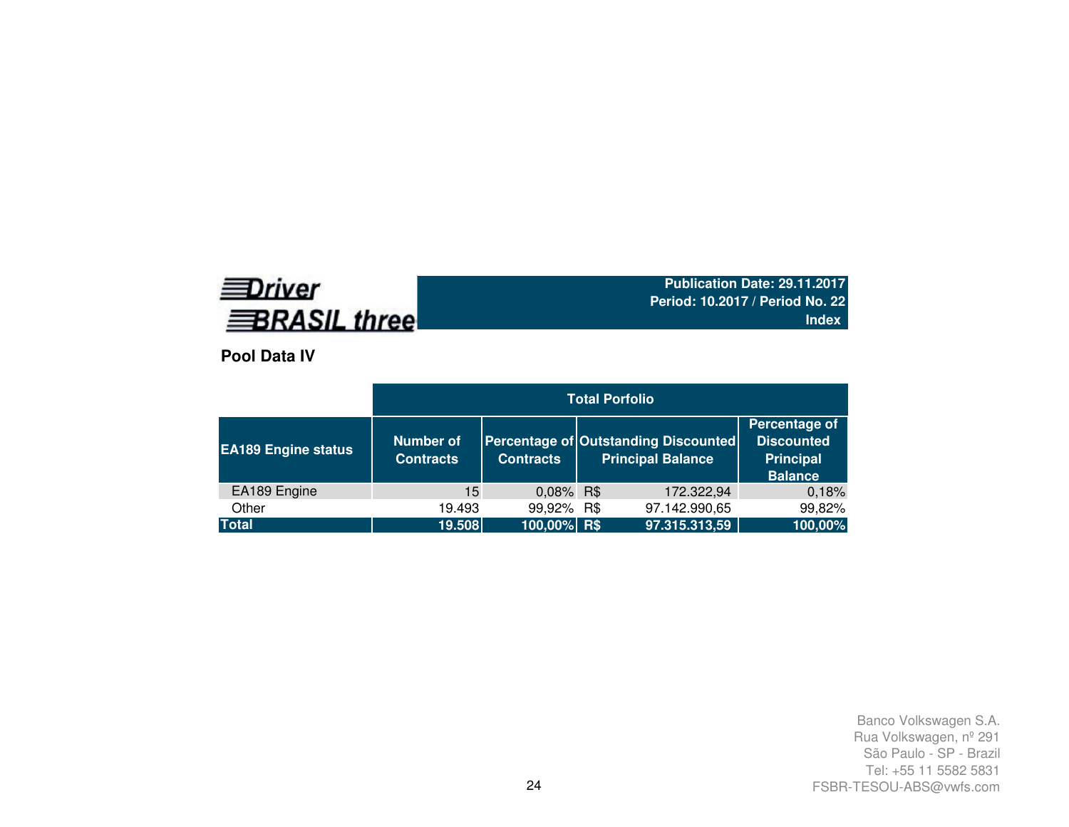# **EDriver BRASIL three**

**Publication Date: 29.11.2017 Period: 10.2017 / Period No. 22Index**

**Pool Data IV**

|                            |                                      |                  | <b>Total Porfolio</b>                                            |                                                                          |
|----------------------------|--------------------------------------|------------------|------------------------------------------------------------------|--------------------------------------------------------------------------|
| <b>EA189 Engine status</b> | <b>Number of</b><br><b>Contracts</b> | <b>Contracts</b> | Percentage of Outstanding Discounted<br><b>Principal Balance</b> | Percentage of<br><b>Discounted</b><br><b>Principal</b><br><b>Balance</b> |
| EA189 Engine               | 15                                   | 0,08% R\$        | 172.322,94                                                       | 0,18%                                                                    |
| Other                      | 19.493                               | 99,92% R\$       | 97.142.990,65                                                    | 99,82%                                                                   |
| <b>Total</b>               | 19.508                               | 100,00% R\$      | 97.315.313,59                                                    | 100,00%                                                                  |